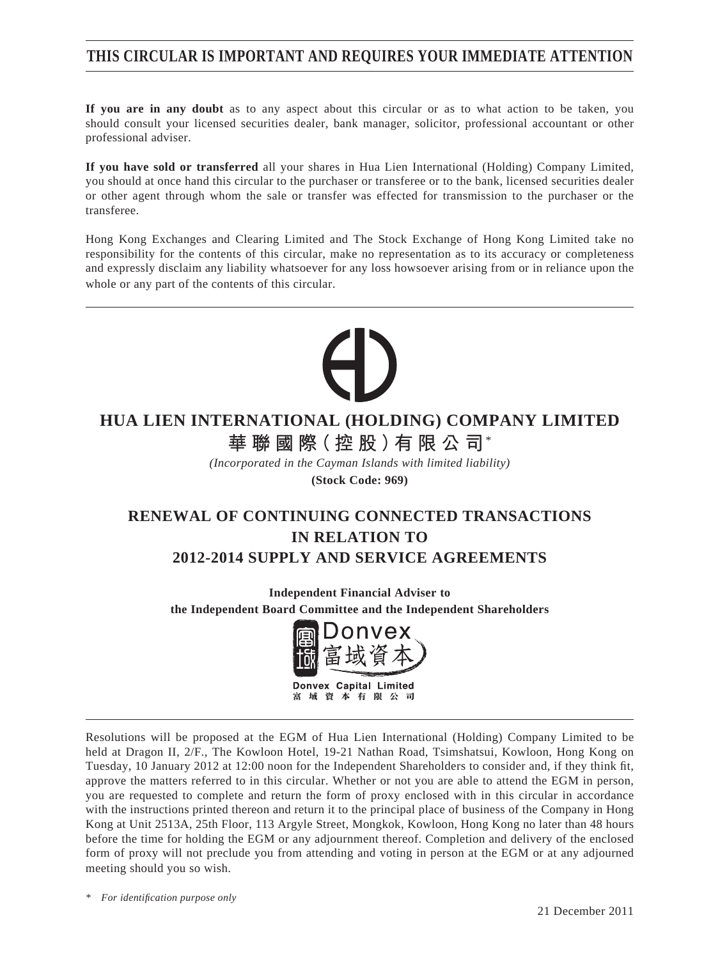# **THIS CIRCULAR IS IMPORTANT AND REQUIRES YOUR IMMEDIATE ATTENTION**

**If you are in any doubt** as to any aspect about this circular or as to what action to be taken, you should consult your licensed securities dealer, bank manager, solicitor, professional accountant or other professional adviser.

**If you have sold or transferred** all your shares in Hua Lien International (Holding) Company Limited, you should at once hand this circular to the purchaser or transferee or to the bank, licensed securities dealer or other agent through whom the sale or transfer was effected for transmission to the purchaser or the transferee.

Hong Kong Exchanges and Clearing Limited and The Stock Exchange of Hong Kong Limited take no responsibility for the contents of this circular, make no representation as to its accuracy or completeness and expressly disclaim any liability whatsoever for any loss howsoever arising from or in reliance upon the whole or any part of the contents of this circular.

# **HUA LIEN INTERNATIONAL (HOLDING) COMPANY LIMITED 華聯國際(控股)有限公司**\*

*(Incorporated in the Cayman Islands with limited liability)* **(Stock Code: 969)**

# **RENEWAL OF CONTINUING CONNECTED TRANSACTIONS IN RELATION TO 2012-2014 SUPPLY AND SERVICE AGREEMENTS**

**Independent Financial Adviser to the Independent Board Committee and the Independent Shareholders**



Resolutions will be proposed at the EGM of Hua Lien International (Holding) Company Limited to be held at Dragon II, 2/F., The Kowloon Hotel, 19-21 Nathan Road, Tsimshatsui, Kowloon, Hong Kong on Tuesday, 10 January 2012 at 12:00 noon for the Independent Shareholders to consider and, if they think fit, approve the matters referred to in this circular. Whether or not you are able to attend the EGM in person, you are requested to complete and return the form of proxy enclosed with in this circular in accordance with the instructions printed thereon and return it to the principal place of business of the Company in Hong Kong at Unit 2513A, 25th Floor, 113 Argyle Street, Mongkok, Kowloon, Hong Kong no later than 48 hours before the time for holding the EGM or any adjournment thereof. Completion and delivery of the enclosed form of proxy will not preclude you from attending and voting in person at the EGM or at any adjourned meeting should you so wish.

*\* For identifi cation purpose only*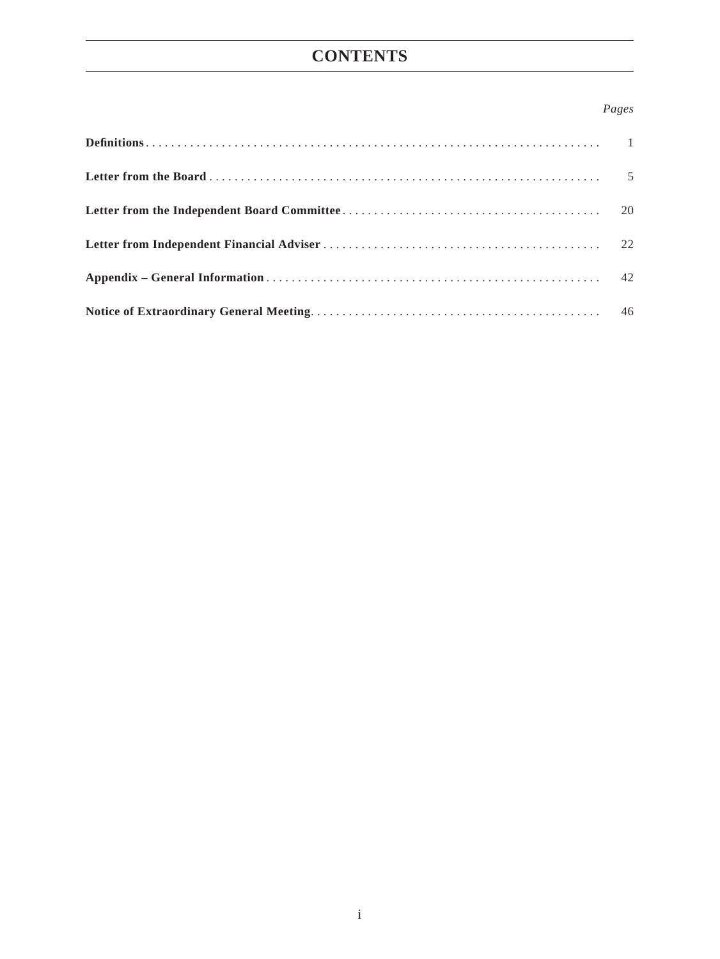# **CONTENTS**

## *Pages*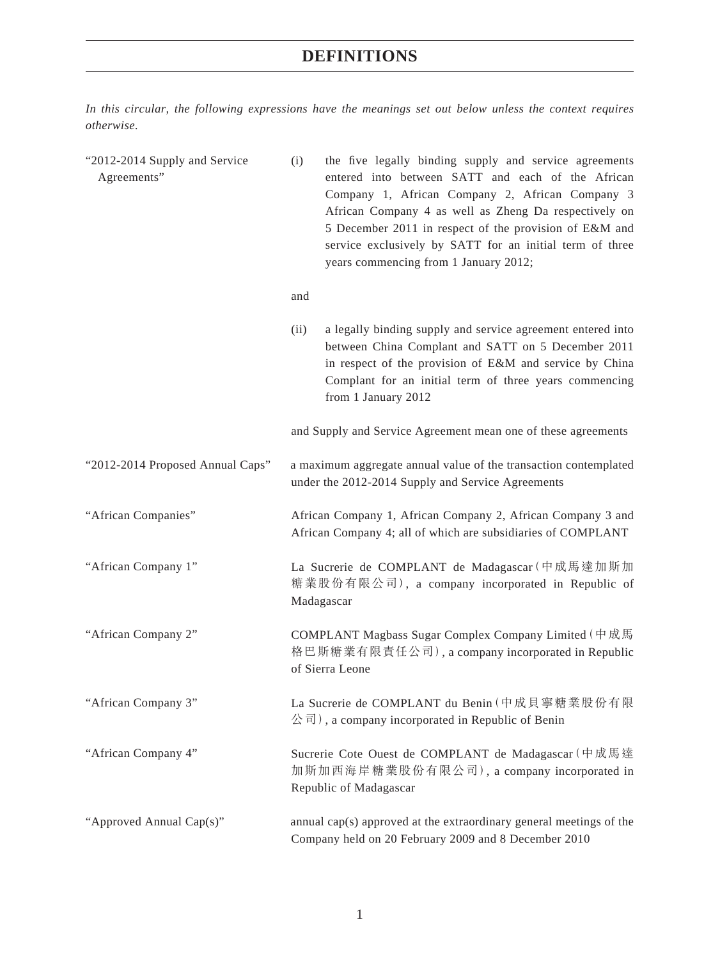*In this circular, the following expressions have the meanings set out below unless the context requires otherwise.*

| "2012-2014 Supply and Service<br>Agreements" | the five legally binding supply and service agreements<br>(i)<br>entered into between SATT and each of the African<br>Company 1, African Company 2, African Company 3<br>African Company 4 as well as Zheng Da respectively on<br>5 December 2011 in respect of the provision of E&M and<br>service exclusively by SATT for an initial term of three<br>years commencing from 1 January 2012; |  |  |
|----------------------------------------------|-----------------------------------------------------------------------------------------------------------------------------------------------------------------------------------------------------------------------------------------------------------------------------------------------------------------------------------------------------------------------------------------------|--|--|
|                                              | and                                                                                                                                                                                                                                                                                                                                                                                           |  |  |
|                                              | a legally binding supply and service agreement entered into<br>(ii)<br>between China Complant and SATT on 5 December 2011<br>in respect of the provision of E&M and service by China<br>Complant for an initial term of three years commencing<br>from 1 January 2012                                                                                                                         |  |  |
|                                              | and Supply and Service Agreement mean one of these agreements                                                                                                                                                                                                                                                                                                                                 |  |  |
| "2012-2014 Proposed Annual Caps"             | a maximum aggregate annual value of the transaction contemplated<br>under the 2012-2014 Supply and Service Agreements                                                                                                                                                                                                                                                                         |  |  |
| "African Companies"                          | African Company 1, African Company 2, African Company 3 and<br>African Company 4; all of which are subsidiaries of COMPLANT                                                                                                                                                                                                                                                                   |  |  |
| "African Company 1"                          | La Sucrerie de COMPLANT de Madagascar (中成馬達加斯加<br>糖業股份有限公司), a company incorporated in Republic of<br>Madagascar                                                                                                                                                                                                                                                                              |  |  |
| "African Company 2"                          | COMPLANT Magbass Sugar Complex Company Limited (中成馬<br>格巴斯糖業有限責任公司), a company incorporated in Republic<br>of Sierra Leone                                                                                                                                                                                                                                                                    |  |  |
| "African Company 3"                          | La Sucrerie de COMPLANT du Benin (中成貝寧糖業股份有限<br>公司), a company incorporated in Republic of Benin                                                                                                                                                                                                                                                                                              |  |  |
| "African Company 4"                          | Sucrerie Cote Ouest de COMPLANT de Madagascar (中成馬達<br>加斯加西海岸糖業股份有限公司), a company incorporated in<br>Republic of Madagascar                                                                                                                                                                                                                                                                   |  |  |
| "Approved Annual Cap(s)"                     | annual cap(s) approved at the extraordinary general meetings of the<br>Company held on 20 February 2009 and 8 December 2010                                                                                                                                                                                                                                                                   |  |  |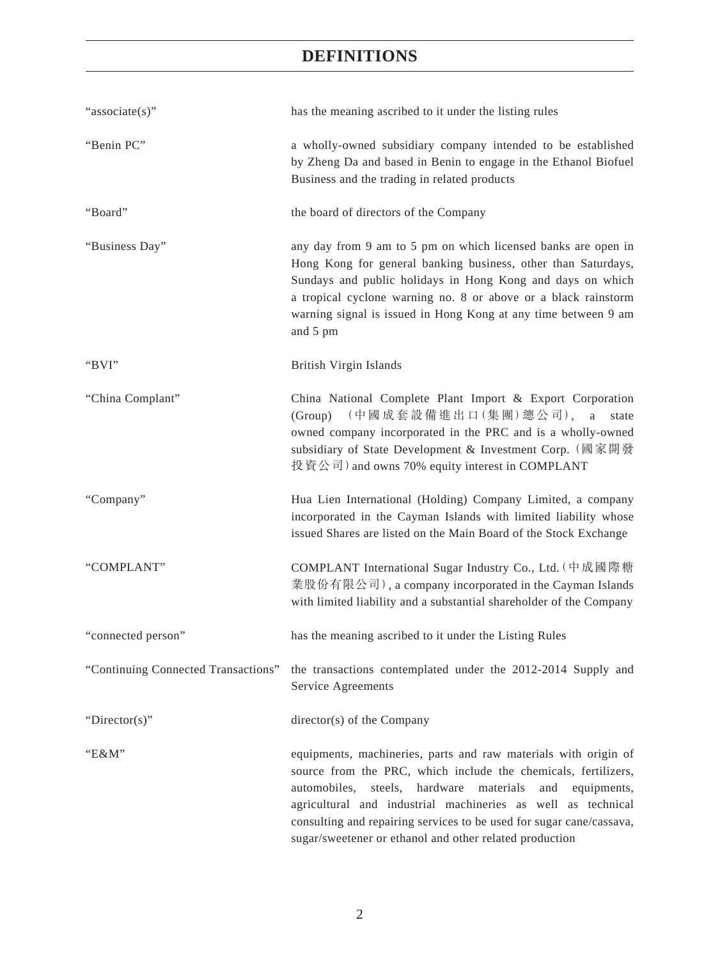| "associate(s)"                      | has the meaning ascribed to it under the listing rules                                                                                                                                                                                                                                                                                                                                                      |  |  |
|-------------------------------------|-------------------------------------------------------------------------------------------------------------------------------------------------------------------------------------------------------------------------------------------------------------------------------------------------------------------------------------------------------------------------------------------------------------|--|--|
| "Benin PC"                          | a wholly-owned subsidiary company intended to be established<br>by Zheng Da and based in Benin to engage in the Ethanol Biofuel<br>Business and the trading in related products                                                                                                                                                                                                                             |  |  |
| "Board"                             | the board of directors of the Company                                                                                                                                                                                                                                                                                                                                                                       |  |  |
| "Business Day"                      | any day from 9 am to 5 pm on which licensed banks are open in<br>Hong Kong for general banking business, other than Saturdays,<br>Sundays and public holidays in Hong Kong and days on which<br>a tropical cyclone warning no. 8 or above or a black rainstorm<br>warning signal is issued in Hong Kong at any time between 9 am<br>and 5 pm                                                                |  |  |
| "BVI"                               | British Virgin Islands                                                                                                                                                                                                                                                                                                                                                                                      |  |  |
| "China Complant"                    | China National Complete Plant Import & Export Corporation<br>(Group) (中國成套設備進出口(集團)總公司), a<br>state<br>owned company incorporated in the PRC and is a wholly-owned<br>subsidiary of State Development & Investment Corp. (國家開發<br>投資公司) and owns 70% equity interest in COMPLANT                                                                                                                            |  |  |
| "Company"                           | Hua Lien International (Holding) Company Limited, a company<br>incorporated in the Cayman Islands with limited liability whose<br>issued Shares are listed on the Main Board of the Stock Exchange                                                                                                                                                                                                          |  |  |
| "COMPLANT"                          | COMPLANT International Sugar Industry Co., Ltd. (中成國際糖<br>業股份有限公司), a company incorporated in the Cayman Islands<br>with limited liability and a substantial shareholder of the Company                                                                                                                                                                                                                     |  |  |
| "connected person"                  | has the meaning ascribed to it under the Listing Rules                                                                                                                                                                                                                                                                                                                                                      |  |  |
| "Continuing Connected Transactions" | the transactions contemplated under the 2012-2014 Supply and<br>Service Agreements                                                                                                                                                                                                                                                                                                                          |  |  |
| "Director(s)"                       | director(s) of the Company                                                                                                                                                                                                                                                                                                                                                                                  |  |  |
| "Е&М"                               | equipments, machineries, parts and raw materials with origin of<br>source from the PRC, which include the chemicals, fertilizers,<br>steels,<br>hardware materials<br>and<br>automobiles,<br>equipments,<br>agricultural and industrial machineries as well as technical<br>consulting and repairing services to be used for sugar cane/cassava,<br>sugar/sweetener or ethanol and other related production |  |  |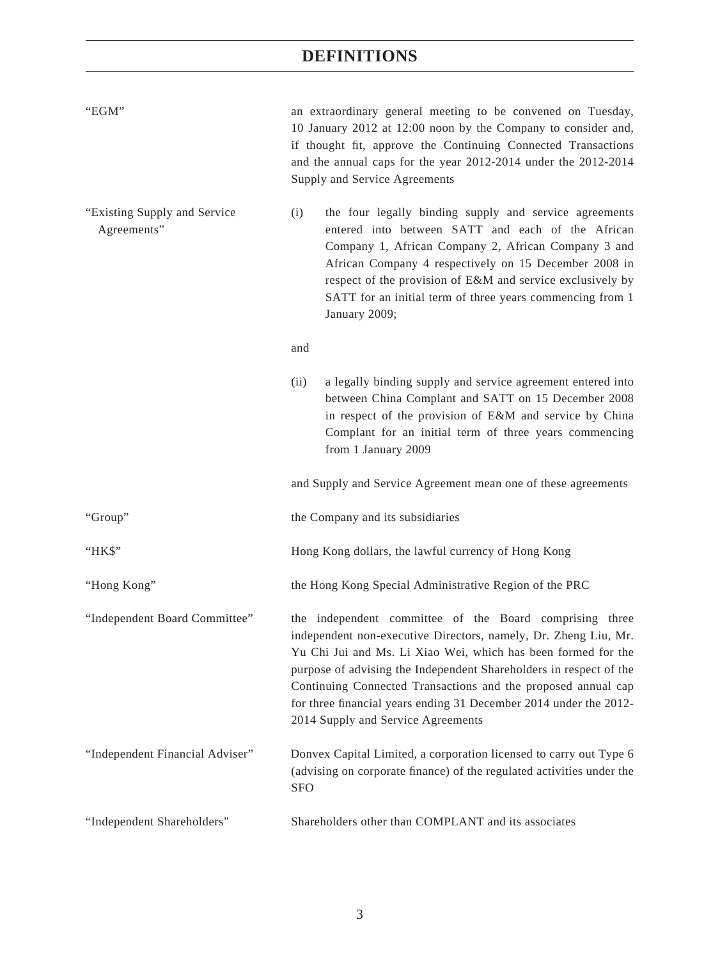| "EGM"                                       | an extraordinary general meeting to be convened on Tuesday,<br>10 January 2012 at 12:00 noon by the Company to consider and,<br>if thought fit, approve the Continuing Connected Transactions<br>and the annual caps for the year 2012-2014 under the 2012-2014<br>Supply and Service Agreements                                                                                                                                              |  |
|---------------------------------------------|-----------------------------------------------------------------------------------------------------------------------------------------------------------------------------------------------------------------------------------------------------------------------------------------------------------------------------------------------------------------------------------------------------------------------------------------------|--|
| "Existing Supply and Service<br>Agreements" | the four legally binding supply and service agreements<br>(i)<br>entered into between SATT and each of the African<br>Company 1, African Company 2, African Company 3 and<br>African Company 4 respectively on 15 December 2008 in<br>respect of the provision of E&M and service exclusively by<br>SATT for an initial term of three years commencing from 1<br>January 2009;                                                                |  |
|                                             | and                                                                                                                                                                                                                                                                                                                                                                                                                                           |  |
|                                             | (ii)<br>a legally binding supply and service agreement entered into<br>between China Complant and SATT on 15 December 2008<br>in respect of the provision of E&M and service by China<br>Complant for an initial term of three years commencing<br>from 1 January 2009                                                                                                                                                                        |  |
|                                             | and Supply and Service Agreement mean one of these agreements                                                                                                                                                                                                                                                                                                                                                                                 |  |
| "Group"                                     | the Company and its subsidiaries                                                                                                                                                                                                                                                                                                                                                                                                              |  |
| "HK\$"                                      | Hong Kong dollars, the lawful currency of Hong Kong                                                                                                                                                                                                                                                                                                                                                                                           |  |
| "Hong Kong"                                 | the Hong Kong Special Administrative Region of the PRC                                                                                                                                                                                                                                                                                                                                                                                        |  |
| "Independent Board Committee"               | the independent committee of the Board comprising three<br>independent non-executive Directors, namely, Dr. Zheng Liu, Mr.<br>Yu Chi Jui and Ms. Li Xiao Wei, which has been formed for the<br>purpose of advising the Independent Shareholders in respect of the<br>Continuing Connected Transactions and the proposed annual cap<br>for three financial years ending 31 December 2014 under the 2012-<br>2014 Supply and Service Agreements |  |
| "Independent Financial Adviser"             | Donvex Capital Limited, a corporation licensed to carry out Type 6<br>(advising on corporate finance) of the regulated activities under the<br><b>SFO</b>                                                                                                                                                                                                                                                                                     |  |
| "Independent Shareholders"                  | Shareholders other than COMPLANT and its associates                                                                                                                                                                                                                                                                                                                                                                                           |  |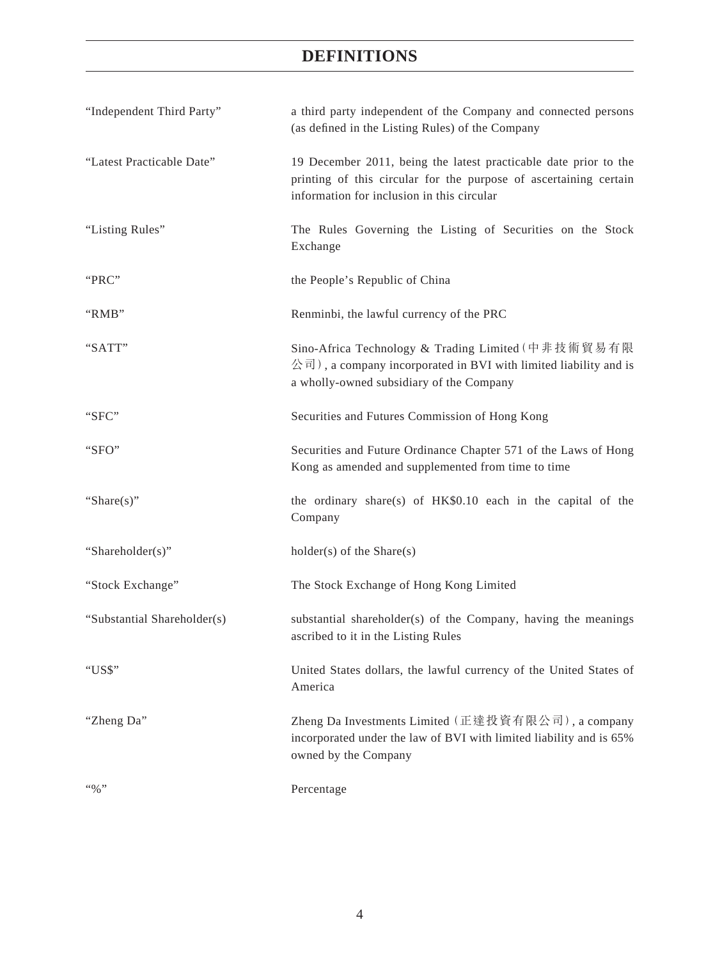| "Independent Third Party"   | a third party independent of the Company and connected persons<br>(as defined in the Listing Rules) of the Company                                                                  |
|-----------------------------|-------------------------------------------------------------------------------------------------------------------------------------------------------------------------------------|
| "Latest Practicable Date"   | 19 December 2011, being the latest practicable date prior to the<br>printing of this circular for the purpose of ascertaining certain<br>information for inclusion in this circular |
| "Listing Rules"             | The Rules Governing the Listing of Securities on the Stock<br>Exchange                                                                                                              |
| "PRC"                       | the People's Republic of China                                                                                                                                                      |
| "RMB"                       | Renminbi, the lawful currency of the PRC                                                                                                                                            |
| "SATT"                      | Sino-Africa Technology & Trading Limited (中非技術貿易有限<br>公司), a company incorporated in BVI with limited liability and is<br>a wholly-owned subsidiary of the Company                  |
| "SFC"                       | Securities and Futures Commission of Hong Kong                                                                                                                                      |
| "SFO"                       | Securities and Future Ordinance Chapter 571 of the Laws of Hong<br>Kong as amended and supplemented from time to time                                                               |
| "Share $(s)$ "              | the ordinary share(s) of $HK$0.10$ each in the capital of the<br>Company                                                                                                            |
| "Shareholder(s)"            | $holder(s)$ of the Share $(s)$                                                                                                                                                      |
| "Stock Exchange"            | The Stock Exchange of Hong Kong Limited                                                                                                                                             |
| "Substantial Shareholder(s) | substantial shareholder(s) of the Company, having the meanings<br>ascribed to it in the Listing Rules                                                                               |
| "US\$"                      | United States dollars, the lawful currency of the United States of<br>America                                                                                                       |
| "Zheng Da"                  | Zheng Da Investments Limited (正達投資有限公司), a company<br>incorporated under the law of BVI with limited liability and is 65%<br>owned by the Company                                   |
| $``\%"$                     | Percentage                                                                                                                                                                          |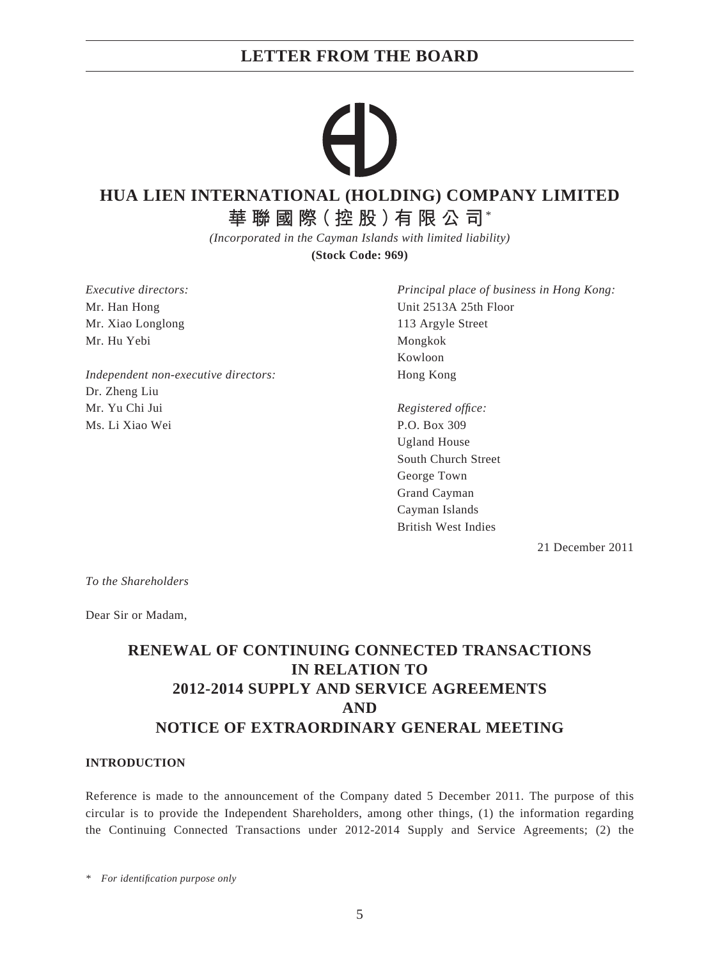# **LETTER FROM THE BOARD**

# **HUA LIEN INTERNATIONAL (HOLDING) COMPANY LIMITED**

**華聯國際(控股)有限公司**\*

*(Incorporated in the Cayman Islands with limited liability)*

**(Stock Code: 969)**

*Executive directors:* Mr. Han Hong Mr. Xiao Longlong Mr. Hu Yebi

*Independent non-executive directors:* Dr. Zheng Liu Mr. Yu Chi Jui Ms. Li Xiao Wei

*Principal place of business in Hong Kong:* Unit 2513A 25th Floor 113 Argyle Street Mongkok Kowloon Hong Kong

*Registered offi ce:* P.O. Box 309 Ugland House South Church Street George Town Grand Cayman Cayman Islands British West Indies

21 December 2011

*To the Shareholders*

Dear Sir or Madam,

# **RENEWAL OF CONTINUING CONNECTED TRANSACTIONS IN RELATION TO 2012-2014 SUPPLY AND SERVICE AGREEMENTS AND NOTICE OF EXTRAORDINARY GENERAL MEETING**

## **INTRODUCTION**

Reference is made to the announcement of the Company dated 5 December 2011. The purpose of this circular is to provide the Independent Shareholders, among other things, (1) the information regarding the Continuing Connected Transactions under 2012-2014 Supply and Service Agreements; (2) the

*\* For identifi cation purpose only*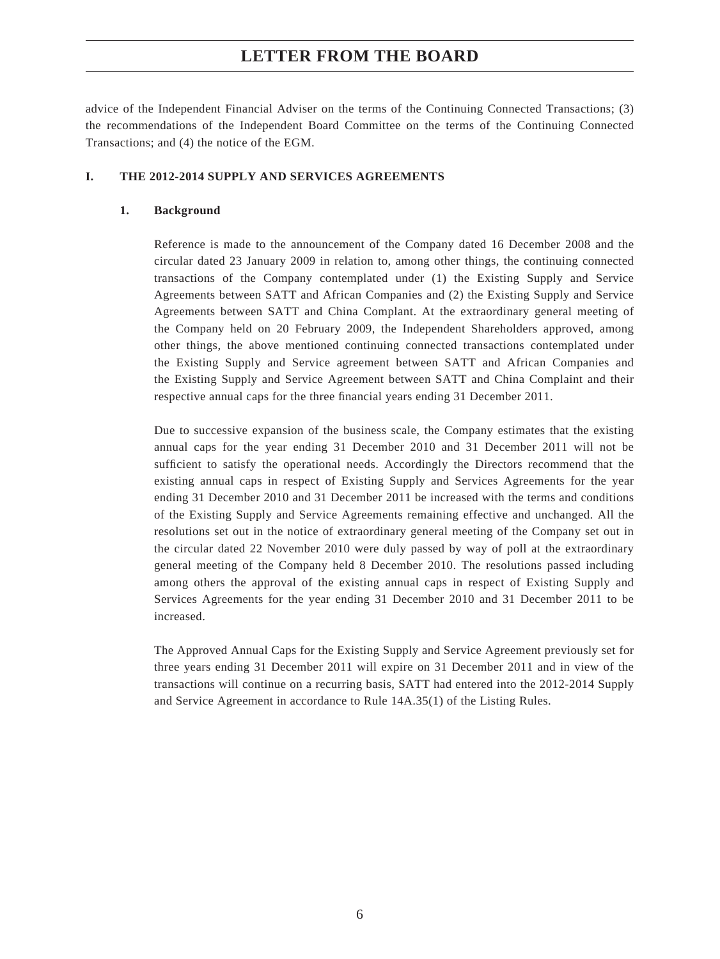# **LETTER FROM THE BOARD**

advice of the Independent Financial Adviser on the terms of the Continuing Connected Transactions; (3) the recommendations of the Independent Board Committee on the terms of the Continuing Connected Transactions; and (4) the notice of the EGM.

### **I. THE 2012-2014 SUPPLY AND SERVICES AGREEMENTS**

### **1. Background**

Reference is made to the announcement of the Company dated 16 December 2008 and the circular dated 23 January 2009 in relation to, among other things, the continuing connected transactions of the Company contemplated under (1) the Existing Supply and Service Agreements between SATT and African Companies and (2) the Existing Supply and Service Agreements between SATT and China Complant. At the extraordinary general meeting of the Company held on 20 February 2009, the Independent Shareholders approved, among other things, the above mentioned continuing connected transactions contemplated under the Existing Supply and Service agreement between SATT and African Companies and the Existing Supply and Service Agreement between SATT and China Complaint and their respective annual caps for the three financial years ending 31 December 2011.

Due to successive expansion of the business scale, the Company estimates that the existing annual caps for the year ending 31 December 2010 and 31 December 2011 will not be sufficient to satisfy the operational needs. Accordingly the Directors recommend that the existing annual caps in respect of Existing Supply and Services Agreements for the year ending 31 December 2010 and 31 December 2011 be increased with the terms and conditions of the Existing Supply and Service Agreements remaining effective and unchanged. All the resolutions set out in the notice of extraordinary general meeting of the Company set out in the circular dated 22 November 2010 were duly passed by way of poll at the extraordinary general meeting of the Company held 8 December 2010. The resolutions passed including among others the approval of the existing annual caps in respect of Existing Supply and Services Agreements for the year ending 31 December 2010 and 31 December 2011 to be increased.

The Approved Annual Caps for the Existing Supply and Service Agreement previously set for three years ending 31 December 2011 will expire on 31 December 2011 and in view of the transactions will continue on a recurring basis, SATT had entered into the 2012-2014 Supply and Service Agreement in accordance to Rule 14A.35(1) of the Listing Rules.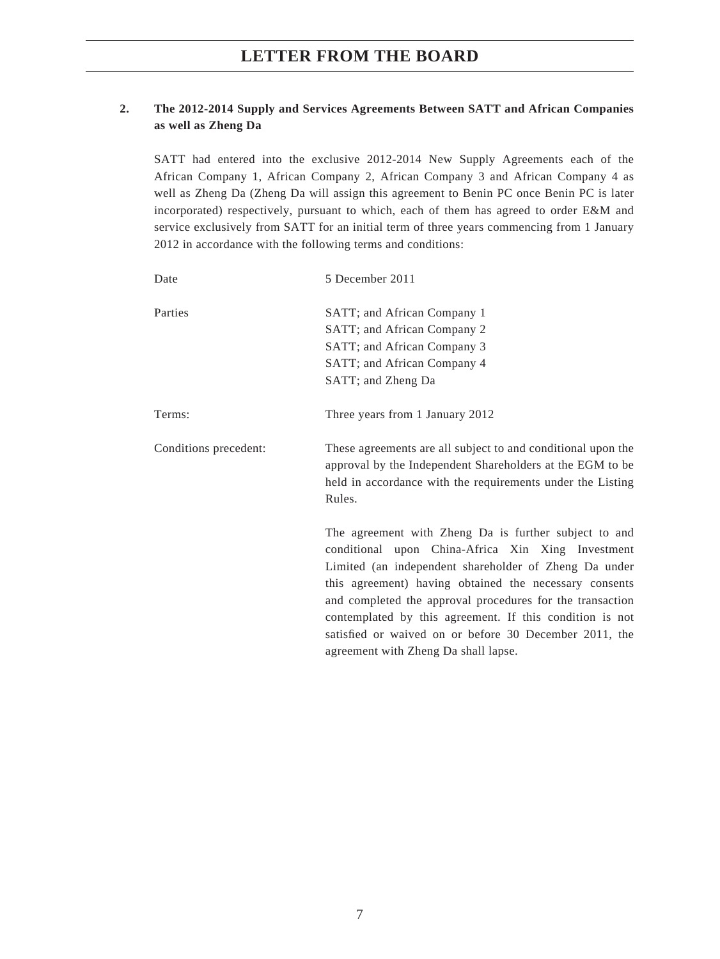## **2. The 2012-2014 Supply and Services Agreements Between SATT and African Companies as well as Zheng Da**

SATT had entered into the exclusive 2012-2014 New Supply Agreements each of the African Company 1, African Company 2, African Company 3 and African Company 4 as well as Zheng Da (Zheng Da will assign this agreement to Benin PC once Benin PC is later incorporated) respectively, pursuant to which, each of them has agreed to order E&M and service exclusively from SATT for an initial term of three years commencing from 1 January 2012 in accordance with the following terms and conditions:

| Date                  | 5 December 2011                                                                                                                                                                                                                                                                                                                                        |  |  |
|-----------------------|--------------------------------------------------------------------------------------------------------------------------------------------------------------------------------------------------------------------------------------------------------------------------------------------------------------------------------------------------------|--|--|
| Parties               | SATT; and African Company 1                                                                                                                                                                                                                                                                                                                            |  |  |
|                       | SATT; and African Company 2                                                                                                                                                                                                                                                                                                                            |  |  |
|                       | SATT; and African Company 3                                                                                                                                                                                                                                                                                                                            |  |  |
|                       | SATT; and African Company 4                                                                                                                                                                                                                                                                                                                            |  |  |
|                       | SATT; and Zheng Da                                                                                                                                                                                                                                                                                                                                     |  |  |
| Terms:                | Three years from 1 January 2012                                                                                                                                                                                                                                                                                                                        |  |  |
| Conditions precedent: | These agreements are all subject to and conditional upon the<br>approval by the Independent Shareholders at the EGM to be<br>held in accordance with the requirements under the Listing<br>Rules.                                                                                                                                                      |  |  |
|                       | The agreement with Zheng Da is further subject to and<br>conditional upon China-Africa Xin Xing Investment<br>Limited (an independent shareholder of Zheng Da under<br>this agreement) having obtained the necessary consents<br>and completed the approval procedures for the transaction<br>contemplated by this agreement. If this condition is not |  |  |

satisfied or waived on or before 30 December 2011, the

agreement with Zheng Da shall lapse.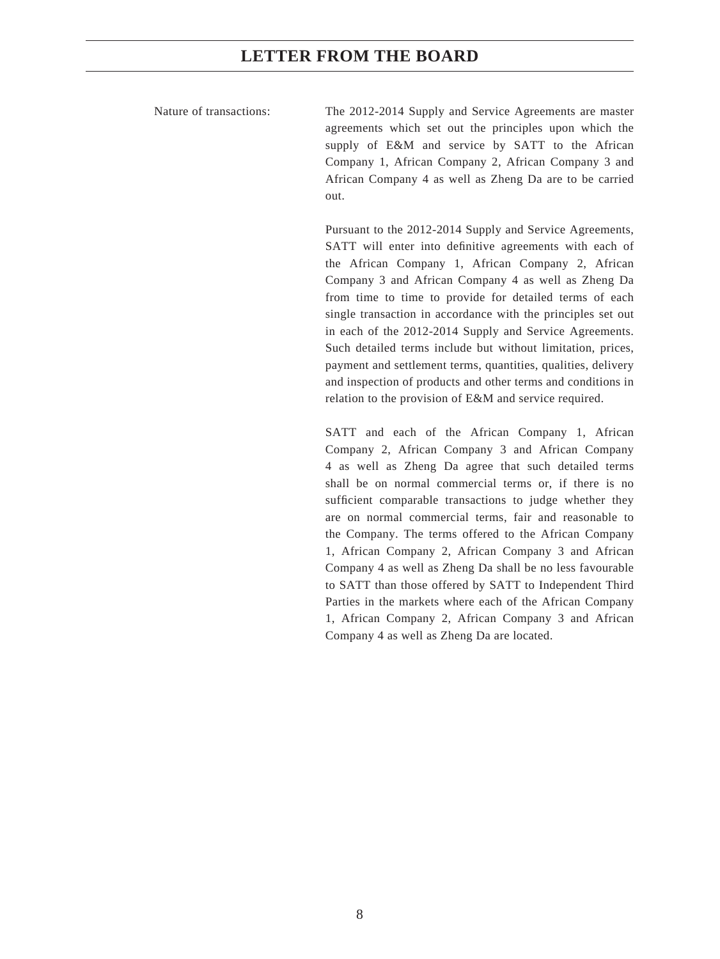## **LETTER FROM THE BOARD**

Nature of transactions: The 2012-2014 Supply and Service Agreements are master agreements which set out the principles upon which the supply of E&M and service by SATT to the African Company 1, African Company 2, African Company 3 and African Company 4 as well as Zheng Da are to be carried out.

> Pursuant to the 2012-2014 Supply and Service Agreements, SATT will enter into definitive agreements with each of the African Company 1, African Company 2, African Company 3 and African Company 4 as well as Zheng Da from time to time to provide for detailed terms of each single transaction in accordance with the principles set out in each of the 2012-2014 Supply and Service Agreements. Such detailed terms include but without limitation, prices, payment and settlement terms, quantities, qualities, delivery and inspection of products and other terms and conditions in relation to the provision of E&M and service required.

> SATT and each of the African Company 1, African Company 2, African Company 3 and African Company 4 as well as Zheng Da agree that such detailed terms shall be on normal commercial terms or, if there is no sufficient comparable transactions to judge whether they are on normal commercial terms, fair and reasonable to the Company. The terms offered to the African Company 1, African Company 2, African Company 3 and African Company 4 as well as Zheng Da shall be no less favourable to SATT than those offered by SATT to Independent Third Parties in the markets where each of the African Company 1, African Company 2, African Company 3 and African Company 4 as well as Zheng Da are located.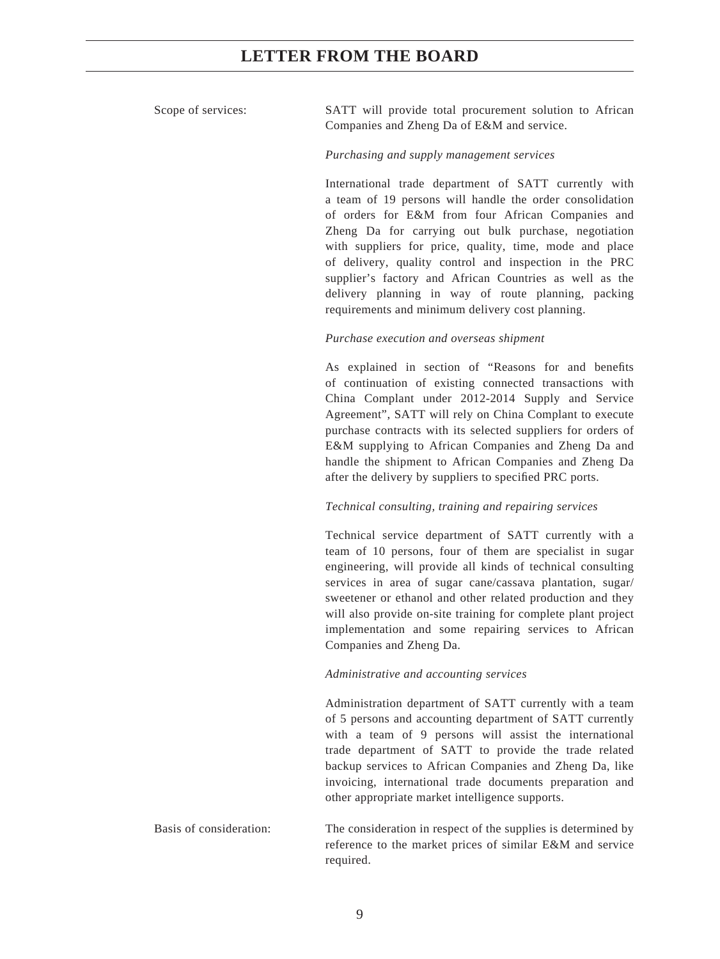## Scope of services: SATT will provide total procurement solution to African

### *Purchasing and supply management services*

Companies and Zheng Da of E&M and service.

International trade department of SATT currently with a team of 19 persons will handle the order consolidation of orders for E&M from four African Companies and Zheng Da for carrying out bulk purchase, negotiation with suppliers for price, quality, time, mode and place of delivery, quality control and inspection in the PRC supplier's factory and African Countries as well as the delivery planning in way of route planning, packing requirements and minimum delivery cost planning.

#### *Purchase execution and overseas shipment*

As explained in section of "Reasons for and benefits of continuation of existing connected transactions with China Complant under 2012-2014 Supply and Service Agreement", SATT will rely on China Complant to execute purchase contracts with its selected suppliers for orders of E&M supplying to African Companies and Zheng Da and handle the shipment to African Companies and Zheng Da after the delivery by suppliers to specified PRC ports.

### *Technical consulting, training and repairing services*

Technical service department of SATT currently with a team of 10 persons, four of them are specialist in sugar engineering, will provide all kinds of technical consulting services in area of sugar cane/cassava plantation, sugar/ sweetener or ethanol and other related production and they will also provide on-site training for complete plant project implementation and some repairing services to African Companies and Zheng Da.

### *Administrative and accounting services*

Administration department of SATT currently with a team of 5 persons and accounting department of SATT currently with a team of 9 persons will assist the international trade department of SATT to provide the trade related backup services to African Companies and Zheng Da, like invoicing, international trade documents preparation and other appropriate market intelligence supports.

Basis of consideration: The consideration in respect of the supplies is determined by reference to the market prices of similar E&M and service required.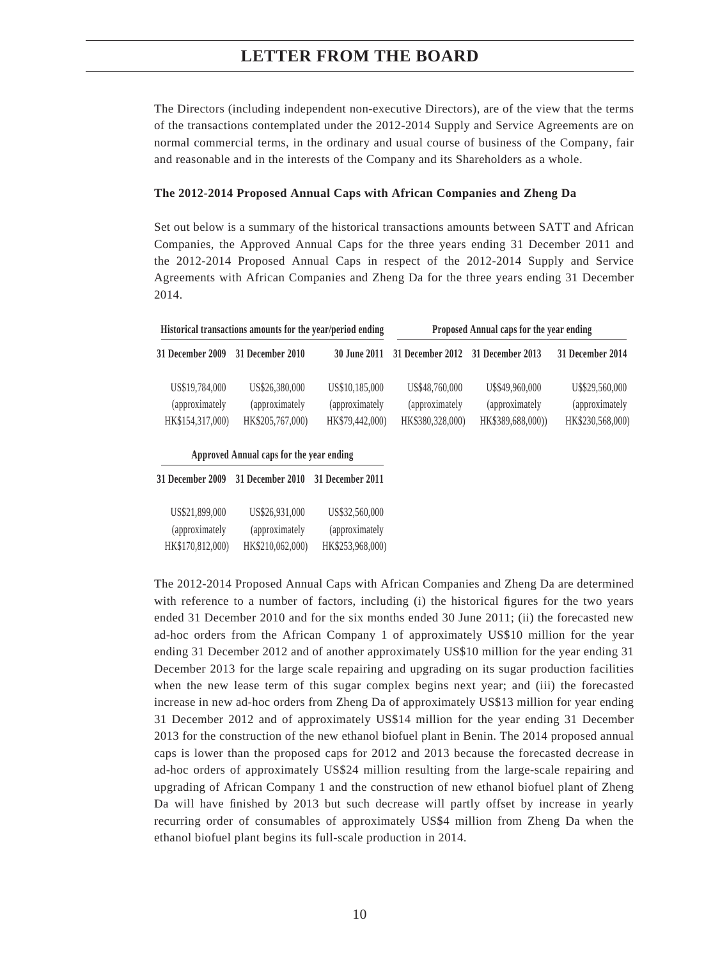## **LETTER FROM THE BOARD**

The Directors (including independent non-executive Directors), are of the view that the terms of the transactions contemplated under the 2012-2014 Supply and Service Agreements are on normal commercial terms, in the ordinary and usual course of business of the Company, fair and reasonable and in the interests of the Company and its Shareholders as a whole.

#### **The 2012-2014 Proposed Annual Caps with African Companies and Zheng Da**

Set out below is a summary of the historical transactions amounts between SATT and African Companies, the Approved Annual Caps for the three years ending 31 December 2011 and the 2012-2014 Proposed Annual Caps in respect of the 2012-2014 Supply and Service Agreements with African Companies and Zheng Da for the three years ending 31 December 2014.

| Historical transactions amounts for the year/period ending |                                                       | Proposed Annual caps for the year ending             |                                                        |                                                         |                                                        |
|------------------------------------------------------------|-------------------------------------------------------|------------------------------------------------------|--------------------------------------------------------|---------------------------------------------------------|--------------------------------------------------------|
| <b>31 December 2009</b>                                    | 31 December 2010                                      | 30 June 2011                                         | 31 December 2012                                       | 31 December 2013                                        | 31 December 2014                                       |
| US\$19,784,000<br>(approximately)<br>HK\$154,317,000)      | US\$26,380,000<br>(approximately)<br>HK\$205,767,000) | US\$10,185,000<br>(approximately)<br>HK\$79,442,000) | U\$\$48,760,000<br>(approximately)<br>HK\$380,328,000) | U\$\$49,960,000<br>(approximately)<br>HK\$389,688,000)) | U\$\$29,560,000<br>(approximately)<br>HK\$230,568,000) |
|                                                            | Approved Annual caps for the year ending              |                                                      |                                                        |                                                         |                                                        |
| 31 December 2009                                           | 31 December 2010                                      | 31 December 2011                                     |                                                        |                                                         |                                                        |
| US\$21,899,000                                             | US\$26,931,000                                        | US\$32,560,000                                       |                                                        |                                                         |                                                        |
| (approximately)                                            | (approximately)                                       | (approximately)                                      |                                                        |                                                         |                                                        |
| HK\$170,812,000)                                           | HK\$210,062,000)                                      | HK\$253,968,000)                                     |                                                        |                                                         |                                                        |

The 2012-2014 Proposed Annual Caps with African Companies and Zheng Da are determined with reference to a number of factors, including (i) the historical figures for the two years ended 31 December 2010 and for the six months ended 30 June 2011; (ii) the forecasted new ad-hoc orders from the African Company 1 of approximately US\$10 million for the year ending 31 December 2012 and of another approximately US\$10 million for the year ending 31 December 2013 for the large scale repairing and upgrading on its sugar production facilities when the new lease term of this sugar complex begins next year; and (iii) the forecasted increase in new ad-hoc orders from Zheng Da of approximately US\$13 million for year ending 31 December 2012 and of approximately US\$14 million for the year ending 31 December 2013 for the construction of the new ethanol biofuel plant in Benin. The 2014 proposed annual caps is lower than the proposed caps for 2012 and 2013 because the forecasted decrease in ad-hoc orders of approximately US\$24 million resulting from the large-scale repairing and upgrading of African Company 1 and the construction of new ethanol biofuel plant of Zheng Da will have finished by 2013 but such decrease will partly offset by increase in yearly recurring order of consumables of approximately US\$4 million from Zheng Da when the ethanol biofuel plant begins its full-scale production in 2014.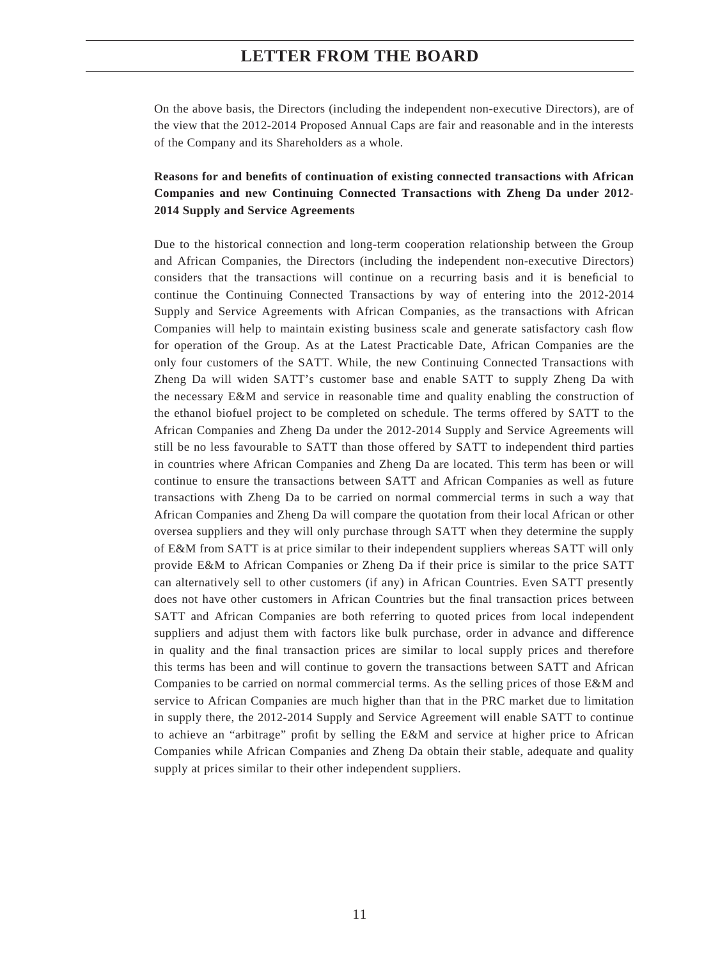On the above basis, the Directors (including the independent non-executive Directors), are of the view that the 2012-2014 Proposed Annual Caps are fair and reasonable and in the interests of the Company and its Shareholders as a whole.

## Reasons for and benefits of continuation of existing connected transactions with African **Companies and new Continuing Connected Transactions with Zheng Da under 2012- 2014 Supply and Service Agreements**

Due to the historical connection and long-term cooperation relationship between the Group and African Companies, the Directors (including the independent non-executive Directors) considers that the transactions will continue on a recurring basis and it is beneficial to continue the Continuing Connected Transactions by way of entering into the 2012-2014 Supply and Service Agreements with African Companies, as the transactions with African Companies will help to maintain existing business scale and generate satisfactory cash flow for operation of the Group. As at the Latest Practicable Date, African Companies are the only four customers of the SATT. While, the new Continuing Connected Transactions with Zheng Da will widen SATT's customer base and enable SATT to supply Zheng Da with the necessary E&M and service in reasonable time and quality enabling the construction of the ethanol biofuel project to be completed on schedule. The terms offered by SATT to the African Companies and Zheng Da under the 2012-2014 Supply and Service Agreements will still be no less favourable to SATT than those offered by SATT to independent third parties in countries where African Companies and Zheng Da are located. This term has been or will continue to ensure the transactions between SATT and African Companies as well as future transactions with Zheng Da to be carried on normal commercial terms in such a way that African Companies and Zheng Da will compare the quotation from their local African or other oversea suppliers and they will only purchase through SATT when they determine the supply of E&M from SATT is at price similar to their independent suppliers whereas SATT will only provide E&M to African Companies or Zheng Da if their price is similar to the price SATT can alternatively sell to other customers (if any) in African Countries. Even SATT presently does not have other customers in African Countries but the final transaction prices between SATT and African Companies are both referring to quoted prices from local independent suppliers and adjust them with factors like bulk purchase, order in advance and difference in quality and the final transaction prices are similar to local supply prices and therefore this terms has been and will continue to govern the transactions between SATT and African Companies to be carried on normal commercial terms. As the selling prices of those E&M and service to African Companies are much higher than that in the PRC market due to limitation in supply there, the 2012-2014 Supply and Service Agreement will enable SATT to continue to achieve an "arbitrage" profit by selling the E&M and service at higher price to African Companies while African Companies and Zheng Da obtain their stable, adequate and quality supply at prices similar to their other independent suppliers.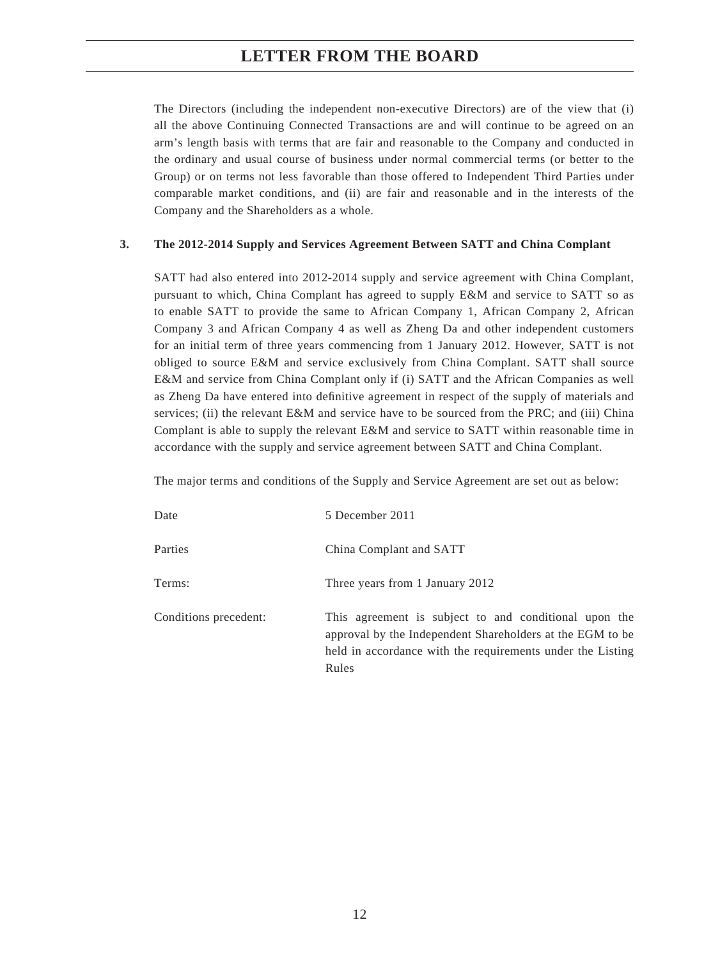# **LETTER FROM THE BOARD**

The Directors (including the independent non-executive Directors) are of the view that (i) all the above Continuing Connected Transactions are and will continue to be agreed on an arm's length basis with terms that are fair and reasonable to the Company and conducted in the ordinary and usual course of business under normal commercial terms (or better to the Group) or on terms not less favorable than those offered to Independent Third Parties under comparable market conditions, and (ii) are fair and reasonable and in the interests of the Company and the Shareholders as a whole.

### **3. The 2012-2014 Supply and Services Agreement Between SATT and China Complant**

SATT had also entered into 2012-2014 supply and service agreement with China Complant, pursuant to which, China Complant has agreed to supply E&M and service to SATT so as to enable SATT to provide the same to African Company 1, African Company 2, African Company 3 and African Company 4 as well as Zheng Da and other independent customers for an initial term of three years commencing from 1 January 2012. However, SATT is not obliged to source E&M and service exclusively from China Complant. SATT shall source E&M and service from China Complant only if (i) SATT and the African Companies as well as Zheng Da have entered into definitive agreement in respect of the supply of materials and services; (ii) the relevant E&M and service have to be sourced from the PRC; and (iii) China Complant is able to supply the relevant E&M and service to SATT within reasonable time in accordance with the supply and service agreement between SATT and China Complant.

The major terms and conditions of the Supply and Service Agreement are set out as below:

| Date                  | 5 December 2011                                                                                                                                                                            |
|-----------------------|--------------------------------------------------------------------------------------------------------------------------------------------------------------------------------------------|
| Parties               | China Complant and SATT                                                                                                                                                                    |
| Terms:                | Three years from 1 January 2012                                                                                                                                                            |
| Conditions precedent: | This agreement is subject to and conditional upon the<br>approval by the Independent Shareholders at the EGM to be.<br>held in accordance with the requirements under the Listing<br>Rules |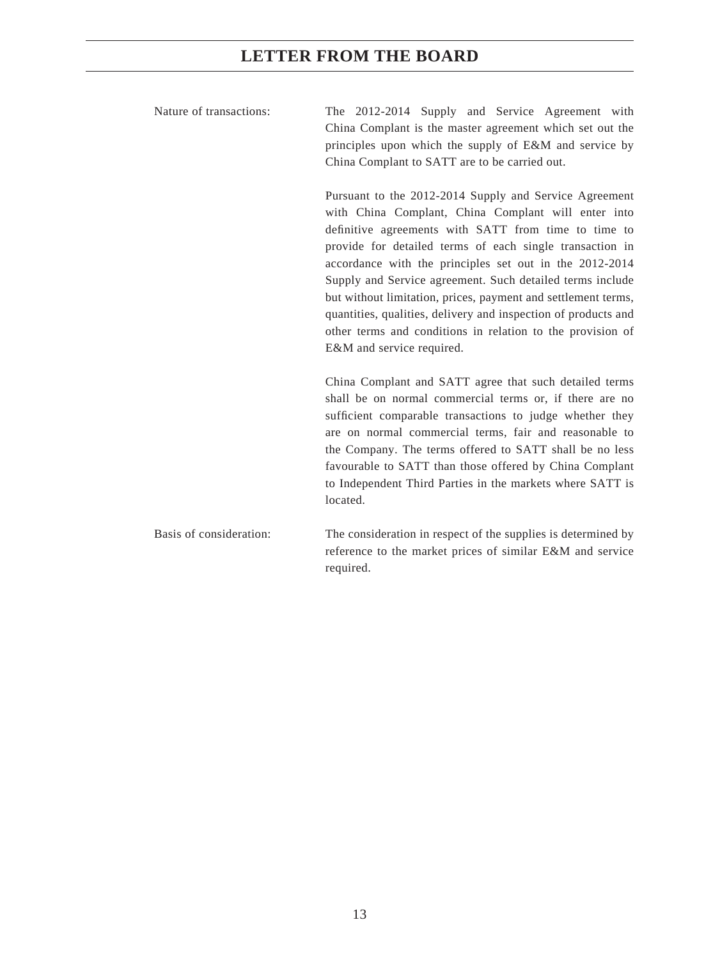# **LETTER FROM THE BOARD**

| Nature of transactions: | The 2012-2014 Supply and Service Agreement with<br>China Complant is the master agreement which set out the<br>principles upon which the supply of E&M and service by<br>China Complant to SATT are to be carried out.                                                                                                                                                                                                                                                                                                                                                                  |  |  |
|-------------------------|-----------------------------------------------------------------------------------------------------------------------------------------------------------------------------------------------------------------------------------------------------------------------------------------------------------------------------------------------------------------------------------------------------------------------------------------------------------------------------------------------------------------------------------------------------------------------------------------|--|--|
|                         | Pursuant to the 2012-2014 Supply and Service Agreement<br>with China Complant, China Complant will enter into<br>definitive agreements with SATT from time to time to<br>provide for detailed terms of each single transaction in<br>accordance with the principles set out in the 2012-2014<br>Supply and Service agreement. Such detailed terms include<br>but without limitation, prices, payment and settlement terms,<br>quantities, qualities, delivery and inspection of products and<br>other terms and conditions in relation to the provision of<br>E&M and service required. |  |  |
|                         | China Complant and SATT agree that such detailed terms<br>shall be on normal commercial terms or, if there are no<br>sufficient comparable transactions to judge whether they<br>are on normal commercial terms, fair and reasonable to<br>the Company. The terms offered to SATT shall be no less<br>favourable to SATT than those offered by China Complant<br>to Independent Third Parties in the markets where SATT is<br>located.                                                                                                                                                  |  |  |
| Basis of consideration: | The consideration in respect of the supplies is determined by<br>reference to the market prices of similar E&M and service<br>required.                                                                                                                                                                                                                                                                                                                                                                                                                                                 |  |  |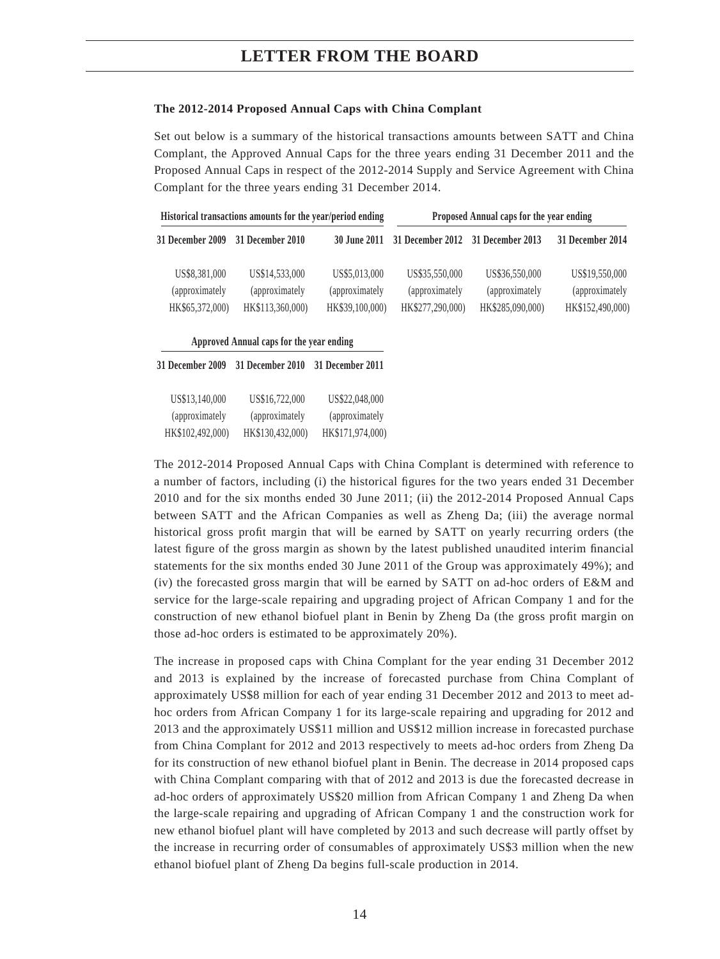#### **The 2012-2014 Proposed Annual Caps with China Complant**

Set out below is a summary of the historical transactions amounts between SATT and China Complant, the Approved Annual Caps for the three years ending 31 December 2011 and the Proposed Annual Caps in respect of the 2012-2014 Supply and Service Agreement with China Complant for the three years ending 31 December 2014.

| Historical transactions amounts for the year/period ending |                                                      | Proposed Annual caps for the year ending           |                                                      |                                                      |                                                      |
|------------------------------------------------------------|------------------------------------------------------|----------------------------------------------------|------------------------------------------------------|------------------------------------------------------|------------------------------------------------------|
| <b>31 December 2009</b>                                    | 31 December 2010                                     |                                                    | 30 June 2011 31 December 2012 31 December 2013       |                                                      | 31 December 2014                                     |
| US\$8,381,000<br>(approximately<br>HK\$65,372,000)         | US\$14,533,000<br>(approximately<br>HK\$113,360,000) | US\$5,013,000<br>(approximately<br>HK\$39,100,000) | US\$35,550,000<br>(approximately<br>HK\$277,290,000) | US\$36,550,000<br>(approximately<br>HK\$285,090,000) | US\$19,550,000<br>(approximately<br>HK\$152,490,000) |

**Approved Annual caps for the year ending**

**31 December 2009 31 December 2010 31 December 2011**

| US\$13,140,000   | US\$16,722,000   | US\$22,048,000   |
|------------------|------------------|------------------|
| (approximately)  | (approximately)  | (approximately)  |
| HK\$102,492,000) | HK\$130,432,000) | HK\$171,974,000) |

The 2012-2014 Proposed Annual Caps with China Complant is determined with reference to a number of factors, including (i) the historical figures for the two years ended 31 December 2010 and for the six months ended 30 June 2011; (ii) the 2012-2014 Proposed Annual Caps between SATT and the African Companies as well as Zheng Da; (iii) the average normal historical gross profit margin that will be earned by SATT on yearly recurring orders (the latest figure of the gross margin as shown by the latest published unaudited interim financial statements for the six months ended 30 June 2011 of the Group was approximately 49%); and (iv) the forecasted gross margin that will be earned by SATT on ad-hoc orders of E&M and service for the large-scale repairing and upgrading project of African Company 1 and for the construction of new ethanol biofuel plant in Benin by Zheng Da (the gross profi t margin on those ad-hoc orders is estimated to be approximately 20%).

The increase in proposed caps with China Complant for the year ending 31 December 2012 and 2013 is explained by the increase of forecasted purchase from China Complant of approximately US\$8 million for each of year ending 31 December 2012 and 2013 to meet adhoc orders from African Company 1 for its large-scale repairing and upgrading for 2012 and 2013 and the approximately US\$11 million and US\$12 million increase in forecasted purchase from China Complant for 2012 and 2013 respectively to meets ad-hoc orders from Zheng Da for its construction of new ethanol biofuel plant in Benin. The decrease in 2014 proposed caps with China Complant comparing with that of 2012 and 2013 is due the forecasted decrease in ad-hoc orders of approximately US\$20 million from African Company 1 and Zheng Da when the large-scale repairing and upgrading of African Company 1 and the construction work for new ethanol biofuel plant will have completed by 2013 and such decrease will partly offset by the increase in recurring order of consumables of approximately US\$3 million when the new ethanol biofuel plant of Zheng Da begins full-scale production in 2014.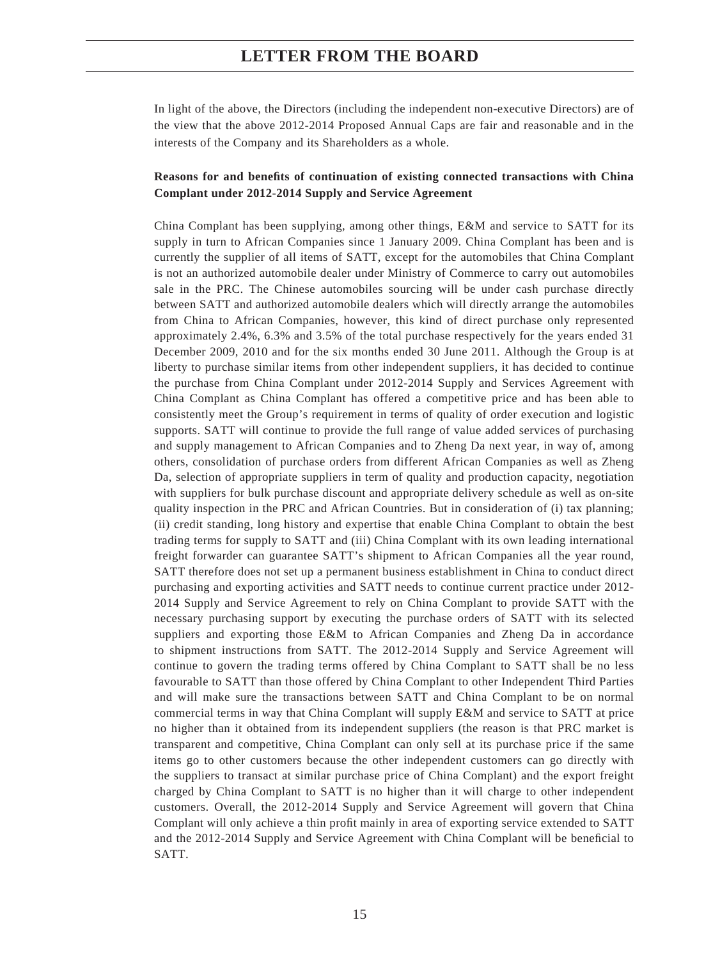In light of the above, the Directors (including the independent non-executive Directors) are of the view that the above 2012-2014 Proposed Annual Caps are fair and reasonable and in the interests of the Company and its Shareholders as a whole.

## **Reasons for and benefi ts of continuation of existing connected transactions with China Complant under 2012-2014 Supply and Service Agreement**

China Complant has been supplying, among other things, E&M and service to SATT for its supply in turn to African Companies since 1 January 2009. China Complant has been and is currently the supplier of all items of SATT, except for the automobiles that China Complant is not an authorized automobile dealer under Ministry of Commerce to carry out automobiles sale in the PRC. The Chinese automobiles sourcing will be under cash purchase directly between SATT and authorized automobile dealers which will directly arrange the automobiles from China to African Companies, however, this kind of direct purchase only represented approximately 2.4%, 6.3% and 3.5% of the total purchase respectively for the years ended 31 December 2009, 2010 and for the six months ended 30 June 2011. Although the Group is at liberty to purchase similar items from other independent suppliers, it has decided to continue the purchase from China Complant under 2012-2014 Supply and Services Agreement with China Complant as China Complant has offered a competitive price and has been able to consistently meet the Group's requirement in terms of quality of order execution and logistic supports. SATT will continue to provide the full range of value added services of purchasing and supply management to African Companies and to Zheng Da next year, in way of, among others, consolidation of purchase orders from different African Companies as well as Zheng Da, selection of appropriate suppliers in term of quality and production capacity, negotiation with suppliers for bulk purchase discount and appropriate delivery schedule as well as on-site quality inspection in the PRC and African Countries. But in consideration of (i) tax planning; (ii) credit standing, long history and expertise that enable China Complant to obtain the best trading terms for supply to SATT and (iii) China Complant with its own leading international freight forwarder can guarantee SATT's shipment to African Companies all the year round, SATT therefore does not set up a permanent business establishment in China to conduct direct purchasing and exporting activities and SATT needs to continue current practice under 2012- 2014 Supply and Service Agreement to rely on China Complant to provide SATT with the necessary purchasing support by executing the purchase orders of SATT with its selected suppliers and exporting those E&M to African Companies and Zheng Da in accordance to shipment instructions from SATT. The 2012-2014 Supply and Service Agreement will continue to govern the trading terms offered by China Complant to SATT shall be no less favourable to SATT than those offered by China Complant to other Independent Third Parties and will make sure the transactions between SATT and China Complant to be on normal commercial terms in way that China Complant will supply E&M and service to SATT at price no higher than it obtained from its independent suppliers (the reason is that PRC market is transparent and competitive, China Complant can only sell at its purchase price if the same items go to other customers because the other independent customers can go directly with the suppliers to transact at similar purchase price of China Complant) and the export freight charged by China Complant to SATT is no higher than it will charge to other independent customers. Overall, the 2012-2014 Supply and Service Agreement will govern that China Complant will only achieve a thin profit mainly in area of exporting service extended to SATT and the 2012-2014 Supply and Service Agreement with China Complant will be beneficial to SATT.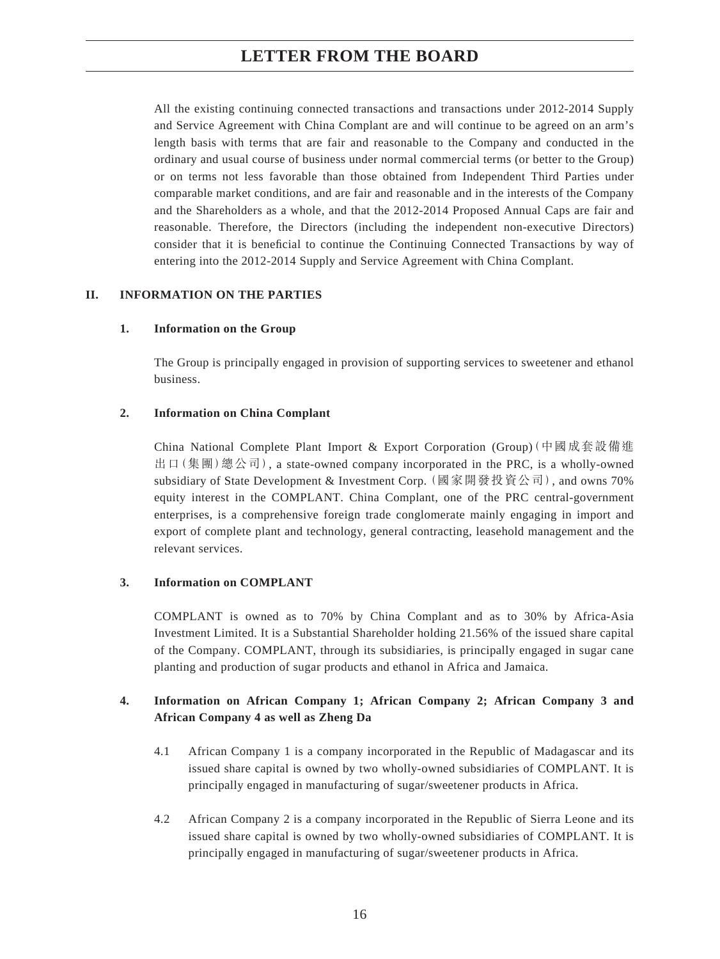All the existing continuing connected transactions and transactions under 2012-2014 Supply and Service Agreement with China Complant are and will continue to be agreed on an arm's length basis with terms that are fair and reasonable to the Company and conducted in the ordinary and usual course of business under normal commercial terms (or better to the Group) or on terms not less favorable than those obtained from Independent Third Parties under comparable market conditions, and are fair and reasonable and in the interests of the Company and the Shareholders as a whole, and that the 2012-2014 Proposed Annual Caps are fair and reasonable. Therefore, the Directors (including the independent non-executive Directors) consider that it is beneficial to continue the Continuing Connected Transactions by way of entering into the 2012-2014 Supply and Service Agreement with China Complant.

## **II. INFORMATION ON THE PARTIES**

## **1. Information on the Group**

The Group is principally engaged in provision of supporting services to sweetener and ethanol business.

## **2. Information on China Complant**

China National Complete Plant Import & Export Corporation (Group)(中國成套設備進 出口(集團)總公司), a state-owned company incorporated in the PRC, is a wholly-owned subsidiary of State Development & Investment Corp. (國家開發投資公司), and owns 70% equity interest in the COMPLANT. China Complant, one of the PRC central-government enterprises, is a comprehensive foreign trade conglomerate mainly engaging in import and export of complete plant and technology, general contracting, leasehold management and the relevant services.

## **3. Information on COMPLANT**

COMPLANT is owned as to 70% by China Complant and as to 30% by Africa-Asia Investment Limited. It is a Substantial Shareholder holding 21.56% of the issued share capital of the Company. COMPLANT, through its subsidiaries, is principally engaged in sugar cane planting and production of sugar products and ethanol in Africa and Jamaica.

## **4. Information on African Company 1; African Company 2; African Company 3 and African Company 4 as well as Zheng Da**

- 4.1 African Company 1 is a company incorporated in the Republic of Madagascar and its issued share capital is owned by two wholly-owned subsidiaries of COMPLANT. It is principally engaged in manufacturing of sugar/sweetener products in Africa.
- 4.2 African Company 2 is a company incorporated in the Republic of Sierra Leone and its issued share capital is owned by two wholly-owned subsidiaries of COMPLANT. It is principally engaged in manufacturing of sugar/sweetener products in Africa.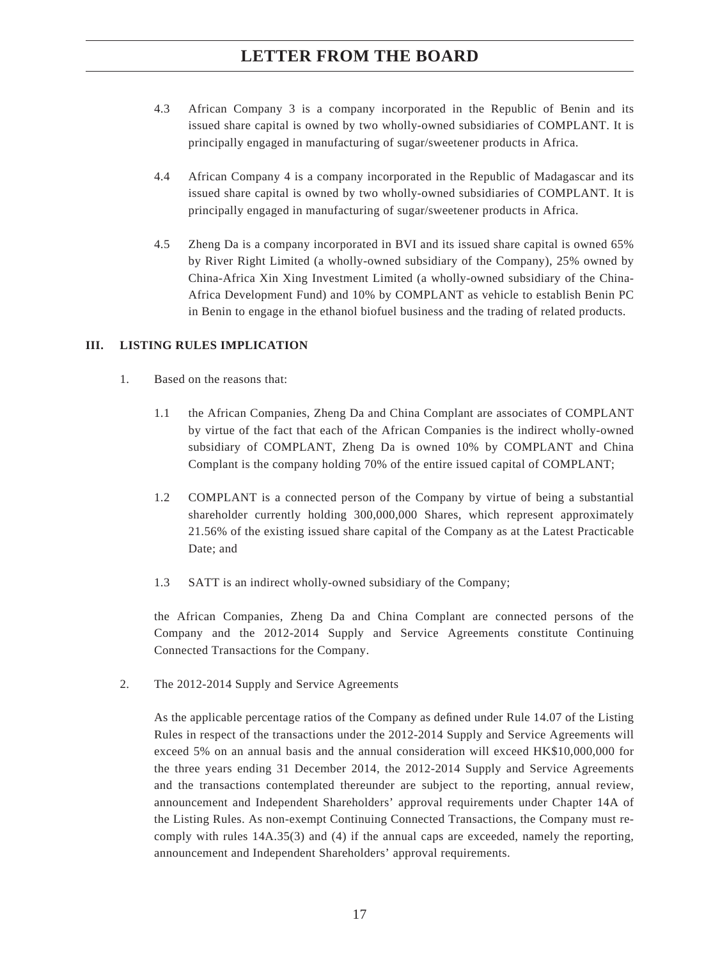- 4.3 African Company 3 is a company incorporated in the Republic of Benin and its issued share capital is owned by two wholly-owned subsidiaries of COMPLANT. It is principally engaged in manufacturing of sugar/sweetener products in Africa.
- 4.4 African Company 4 is a company incorporated in the Republic of Madagascar and its issued share capital is owned by two wholly-owned subsidiaries of COMPLANT. It is principally engaged in manufacturing of sugar/sweetener products in Africa.
- 4.5 Zheng Da is a company incorporated in BVI and its issued share capital is owned 65% by River Right Limited (a wholly-owned subsidiary of the Company), 25% owned by China-Africa Xin Xing Investment Limited (a wholly-owned subsidiary of the China-Africa Development Fund) and 10% by COMPLANT as vehicle to establish Benin PC in Benin to engage in the ethanol biofuel business and the trading of related products.

## **III. LISTING RULES IMPLICATION**

- 1. Based on the reasons that:
	- 1.1 the African Companies, Zheng Da and China Complant are associates of COMPLANT by virtue of the fact that each of the African Companies is the indirect wholly-owned subsidiary of COMPLANT, Zheng Da is owned 10% by COMPLANT and China Complant is the company holding 70% of the entire issued capital of COMPLANT;
	- 1.2 COMPLANT is a connected person of the Company by virtue of being a substantial shareholder currently holding 300,000,000 Shares, which represent approximately 21.56% of the existing issued share capital of the Company as at the Latest Practicable Date; and
	- 1.3 SATT is an indirect wholly-owned subsidiary of the Company;

the African Companies, Zheng Da and China Complant are connected persons of the Company and the 2012-2014 Supply and Service Agreements constitute Continuing Connected Transactions for the Company.

2. The 2012-2014 Supply and Service Agreements

As the applicable percentage ratios of the Company as defined under Rule 14.07 of the Listing Rules in respect of the transactions under the 2012-2014 Supply and Service Agreements will exceed 5% on an annual basis and the annual consideration will exceed HK\$10,000,000 for the three years ending 31 December 2014, the 2012-2014 Supply and Service Agreements and the transactions contemplated thereunder are subject to the reporting, annual review, announcement and Independent Shareholders' approval requirements under Chapter 14A of the Listing Rules. As non-exempt Continuing Connected Transactions, the Company must recomply with rules 14A.35(3) and (4) if the annual caps are exceeded, namely the reporting, announcement and Independent Shareholders' approval requirements.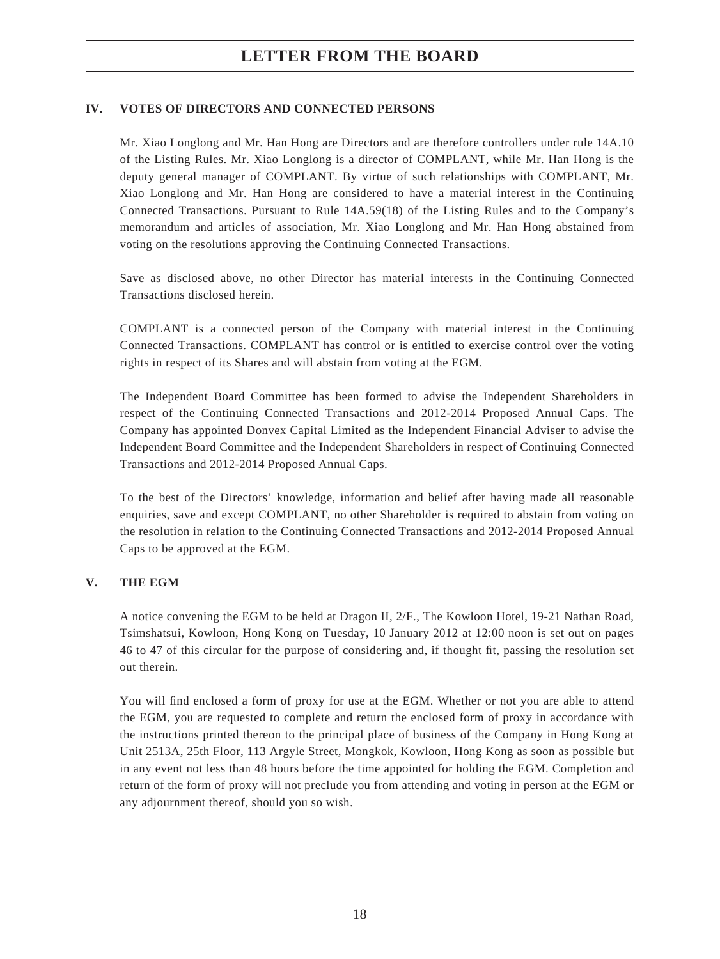# **LETTER FROM THE BOARD**

## **IV. VOTES OF DIRECTORS AND CONNECTED PERSONS**

Mr. Xiao Longlong and Mr. Han Hong are Directors and are therefore controllers under rule 14A.10 of the Listing Rules. Mr. Xiao Longlong is a director of COMPLANT, while Mr. Han Hong is the deputy general manager of COMPLANT. By virtue of such relationships with COMPLANT, Mr. Xiao Longlong and Mr. Han Hong are considered to have a material interest in the Continuing Connected Transactions. Pursuant to Rule 14A.59(18) of the Listing Rules and to the Company's memorandum and articles of association, Mr. Xiao Longlong and Mr. Han Hong abstained from voting on the resolutions approving the Continuing Connected Transactions.

Save as disclosed above, no other Director has material interests in the Continuing Connected Transactions disclosed herein.

COMPLANT is a connected person of the Company with material interest in the Continuing Connected Transactions. COMPLANT has control or is entitled to exercise control over the voting rights in respect of its Shares and will abstain from voting at the EGM.

The Independent Board Committee has been formed to advise the Independent Shareholders in respect of the Continuing Connected Transactions and 2012-2014 Proposed Annual Caps. The Company has appointed Donvex Capital Limited as the Independent Financial Adviser to advise the Independent Board Committee and the Independent Shareholders in respect of Continuing Connected Transactions and 2012-2014 Proposed Annual Caps.

To the best of the Directors' knowledge, information and belief after having made all reasonable enquiries, save and except COMPLANT, no other Shareholder is required to abstain from voting on the resolution in relation to the Continuing Connected Transactions and 2012-2014 Proposed Annual Caps to be approved at the EGM.

## **V. THE EGM**

A notice convening the EGM to be held at Dragon II, 2/F., The Kowloon Hotel, 19-21 Nathan Road, Tsimshatsui, Kowloon, Hong Kong on Tuesday, 10 January 2012 at 12:00 noon is set out on pages 46 to 47 of this circular for the purpose of considering and, if thought fit, passing the resolution set out therein.

You will find enclosed a form of proxy for use at the EGM. Whether or not you are able to attend the EGM, you are requested to complete and return the enclosed form of proxy in accordance with the instructions printed thereon to the principal place of business of the Company in Hong Kong at Unit 2513A, 25th Floor, 113 Argyle Street, Mongkok, Kowloon, Hong Kong as soon as possible but in any event not less than 48 hours before the time appointed for holding the EGM. Completion and return of the form of proxy will not preclude you from attending and voting in person at the EGM or any adjournment thereof, should you so wish.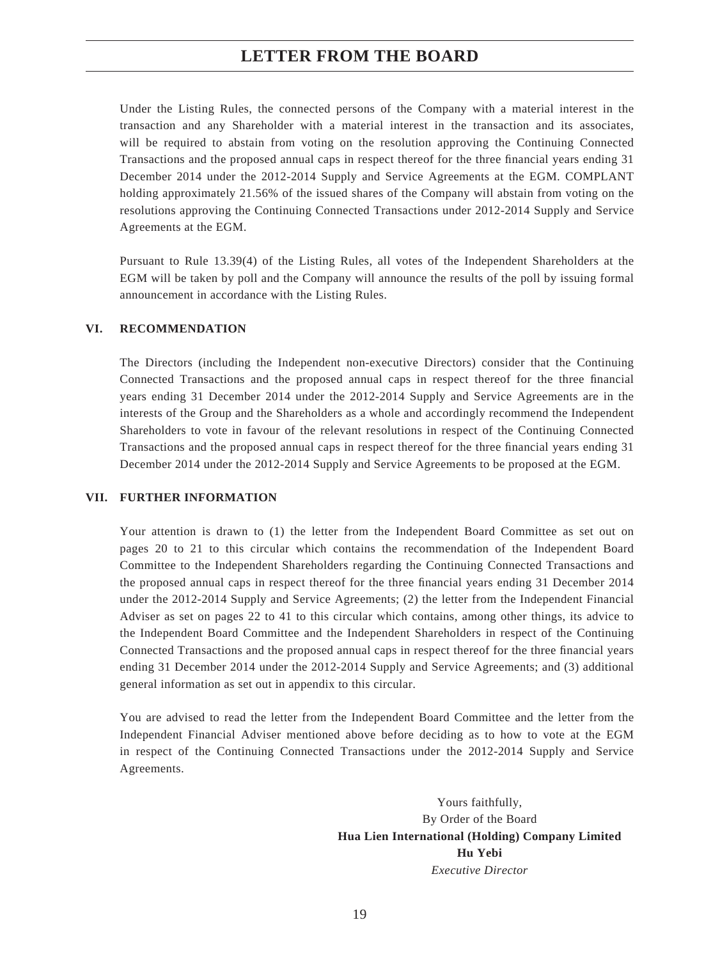## **LETTER FROM THE BOARD**

Under the Listing Rules, the connected persons of the Company with a material interest in the transaction and any Shareholder with a material interest in the transaction and its associates, will be required to abstain from voting on the resolution approving the Continuing Connected Transactions and the proposed annual caps in respect thereof for the three financial years ending 31 December 2014 under the 2012-2014 Supply and Service Agreements at the EGM. COMPLANT holding approximately 21.56% of the issued shares of the Company will abstain from voting on the resolutions approving the Continuing Connected Transactions under 2012-2014 Supply and Service Agreements at the EGM.

Pursuant to Rule 13.39(4) of the Listing Rules, all votes of the Independent Shareholders at the EGM will be taken by poll and the Company will announce the results of the poll by issuing formal announcement in accordance with the Listing Rules.

#### **VI. RECOMMENDATION**

The Directors (including the Independent non-executive Directors) consider that the Continuing Connected Transactions and the proposed annual caps in respect thereof for the three financial years ending 31 December 2014 under the 2012-2014 Supply and Service Agreements are in the interests of the Group and the Shareholders as a whole and accordingly recommend the Independent Shareholders to vote in favour of the relevant resolutions in respect of the Continuing Connected Transactions and the proposed annual caps in respect thereof for the three financial years ending 31 December 2014 under the 2012-2014 Supply and Service Agreements to be proposed at the EGM.

#### **VII. FURTHER INFORMATION**

Your attention is drawn to (1) the letter from the Independent Board Committee as set out on pages 20 to 21 to this circular which contains the recommendation of the Independent Board Committee to the Independent Shareholders regarding the Continuing Connected Transactions and the proposed annual caps in respect thereof for the three financial years ending 31 December 2014 under the 2012-2014 Supply and Service Agreements; (2) the letter from the Independent Financial Adviser as set on pages 22 to 41 to this circular which contains, among other things, its advice to the Independent Board Committee and the Independent Shareholders in respect of the Continuing Connected Transactions and the proposed annual caps in respect thereof for the three financial years ending 31 December 2014 under the 2012-2014 Supply and Service Agreements; and (3) additional general information as set out in appendix to this circular.

You are advised to read the letter from the Independent Board Committee and the letter from the Independent Financial Adviser mentioned above before deciding as to how to vote at the EGM in respect of the Continuing Connected Transactions under the 2012-2014 Supply and Service Agreements.

> Yours faithfully, By Order of the Board **Hua Lien International (Holding) Company Limited Hu Yebi** *Executive Director*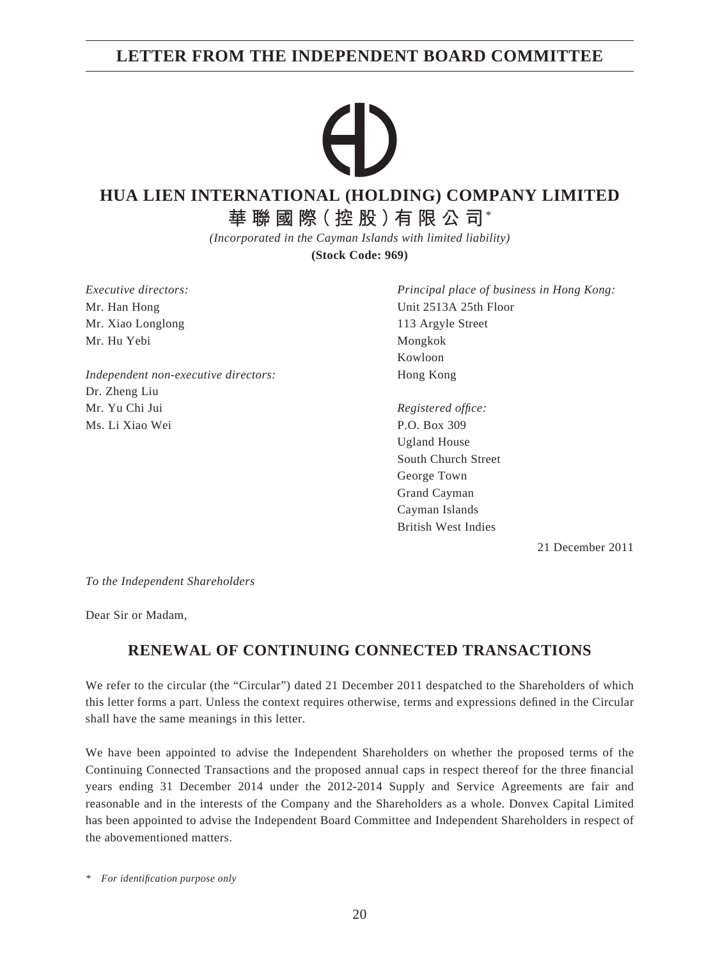# **LETTER FROM THE INDEPENDENT BOARD COMMITTEE**

# **HUA LIEN INTERNATIONAL (HOLDING) COMPANY LIMITED**

**華聯國際(控股)有限公司**\*

*(Incorporated in the Cayman Islands with limited liability)*

**(Stock Code: 969)**

*Executive directors:* Mr. Han Hong Mr. Xiao Longlong Mr. Hu Yebi

*Independent non-executive directors:* Dr. Zheng Liu Mr. Yu Chi Jui Ms. Li Xiao Wei

*Principal place of business in Hong Kong:* Unit 2513A 25th Floor 113 Argyle Street Mongkok Kowloon Hong Kong

*Registered offi ce:* P.O. Box 309 Ugland House South Church Street George Town Grand Cayman Cayman Islands British West Indies

21 December 2011

*To the Independent Shareholders*

Dear Sir or Madam,

# **RENEWAL OF CONTINUING CONNECTED TRANSACTIONS**

We refer to the circular (the "Circular") dated 21 December 2011 despatched to the Shareholders of which this letter forms a part. Unless the context requires otherwise, terms and expressions defined in the Circular shall have the same meanings in this letter.

We have been appointed to advise the Independent Shareholders on whether the proposed terms of the Continuing Connected Transactions and the proposed annual caps in respect thereof for the three financial years ending 31 December 2014 under the 2012-2014 Supply and Service Agreements are fair and reasonable and in the interests of the Company and the Shareholders as a whole. Donvex Capital Limited has been appointed to advise the Independent Board Committee and Independent Shareholders in respect of the abovementioned matters.

*\* For identifi cation purpose only*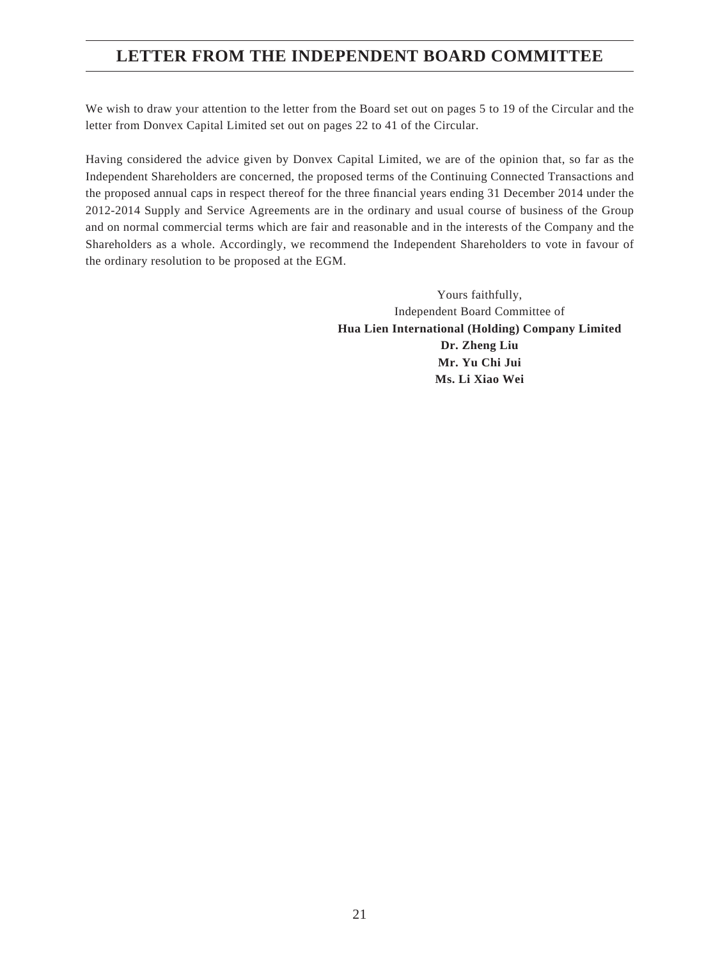# **LETTER FROM THE INDEPENDENT BOARD COMMITTEE**

We wish to draw your attention to the letter from the Board set out on pages 5 to 19 of the Circular and the letter from Donvex Capital Limited set out on pages 22 to 41 of the Circular.

Having considered the advice given by Donvex Capital Limited, we are of the opinion that, so far as the Independent Shareholders are concerned, the proposed terms of the Continuing Connected Transactions and the proposed annual caps in respect thereof for the three financial years ending 31 December 2014 under the 2012-2014 Supply and Service Agreements are in the ordinary and usual course of business of the Group and on normal commercial terms which are fair and reasonable and in the interests of the Company and the Shareholders as a whole. Accordingly, we recommend the Independent Shareholders to vote in favour of the ordinary resolution to be proposed at the EGM.

> Yours faithfully, Independent Board Committee of **Hua Lien International (Holding) Company Limited Dr. Zheng Liu Mr. Yu Chi Jui Ms. Li Xiao Wei**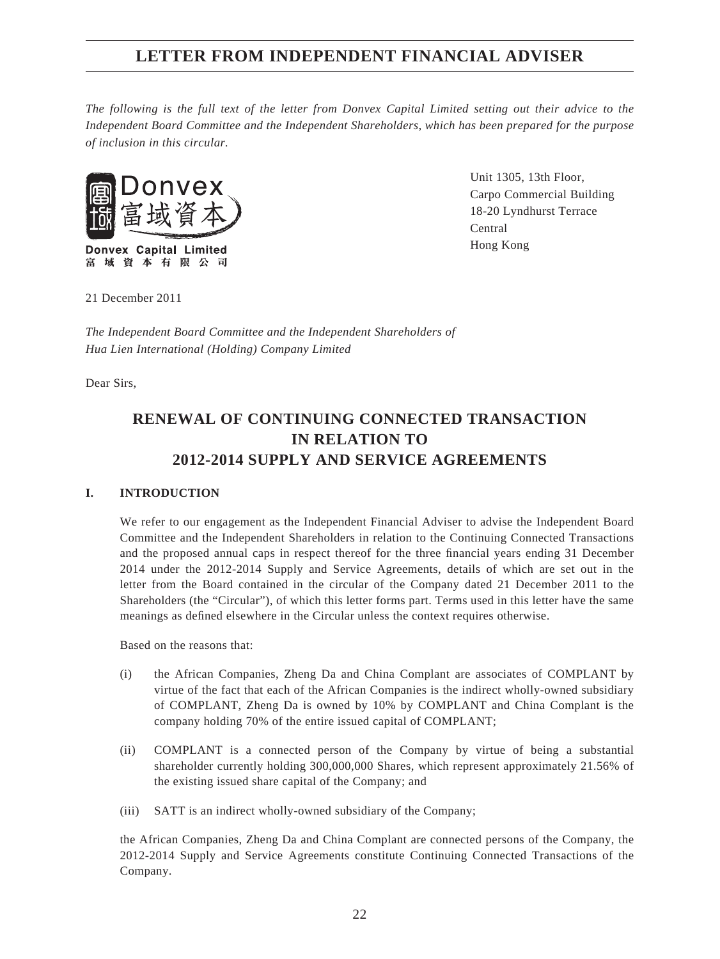*The following is the full text of the letter from Donvex Capital Limited setting out their advice to the Independent Board Committee and the Independent Shareholders, which has been prepared for the purpose of inclusion in this circular.*



**Donvex Capital Limited** 富域資本有限公司 Unit 1305, 13th Floor, Carpo Commercial Building 18-20 Lyndhurst Terrace Central Hong Kong

21 December 2011

*The Independent Board Committee and the Independent Shareholders of Hua Lien International (Holding) Company Limited*

Dear Sirs,

# **RENEWAL OF CONTINUING CONNECTED TRANSACTION IN RELATION TO 2012-2014 SUPPLY AND SERVICE AGREEMENTS**

### **I. INTRODUCTION**

We refer to our engagement as the Independent Financial Adviser to advise the Independent Board Committee and the Independent Shareholders in relation to the Continuing Connected Transactions and the proposed annual caps in respect thereof for the three financial years ending 31 December 2014 under the 2012-2014 Supply and Service Agreements, details of which are set out in the letter from the Board contained in the circular of the Company dated 21 December 2011 to the Shareholders (the "Circular"), of which this letter forms part. Terms used in this letter have the same meanings as defined elsewhere in the Circular unless the context requires otherwise.

Based on the reasons that:

- (i) the African Companies, Zheng Da and China Complant are associates of COMPLANT by virtue of the fact that each of the African Companies is the indirect wholly-owned subsidiary of COMPLANT, Zheng Da is owned by 10% by COMPLANT and China Complant is the company holding 70% of the entire issued capital of COMPLANT;
- (ii) COMPLANT is a connected person of the Company by virtue of being a substantial shareholder currently holding 300,000,000 Shares, which represent approximately 21.56% of the existing issued share capital of the Company; and
- (iii) SATT is an indirect wholly-owned subsidiary of the Company;

the African Companies, Zheng Da and China Complant are connected persons of the Company, the 2012-2014 Supply and Service Agreements constitute Continuing Connected Transactions of the Company.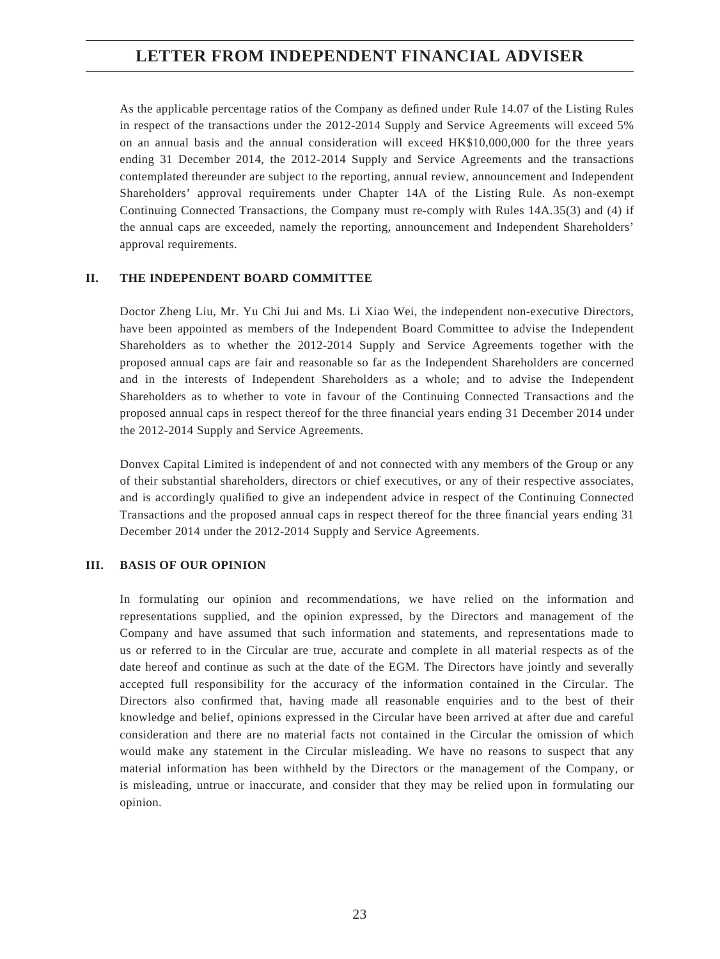As the applicable percentage ratios of the Company as defined under Rule 14.07 of the Listing Rules in respect of the transactions under the 2012-2014 Supply and Service Agreements will exceed 5% on an annual basis and the annual consideration will exceed HK\$10,000,000 for the three years ending 31 December 2014, the 2012-2014 Supply and Service Agreements and the transactions contemplated thereunder are subject to the reporting, annual review, announcement and Independent Shareholders' approval requirements under Chapter 14A of the Listing Rule. As non-exempt Continuing Connected Transactions, the Company must re-comply with Rules 14A.35(3) and (4) if the annual caps are exceeded, namely the reporting, announcement and Independent Shareholders' approval requirements.

## **II. THE INDEPENDENT BOARD COMMITTEE**

Doctor Zheng Liu, Mr. Yu Chi Jui and Ms. Li Xiao Wei, the independent non-executive Directors, have been appointed as members of the Independent Board Committee to advise the Independent Shareholders as to whether the 2012-2014 Supply and Service Agreements together with the proposed annual caps are fair and reasonable so far as the Independent Shareholders are concerned and in the interests of Independent Shareholders as a whole; and to advise the Independent Shareholders as to whether to vote in favour of the Continuing Connected Transactions and the proposed annual caps in respect thereof for the three financial years ending 31 December 2014 under the 2012-2014 Supply and Service Agreements.

Donvex Capital Limited is independent of and not connected with any members of the Group or any of their substantial shareholders, directors or chief executives, or any of their respective associates, and is accordingly qualified to give an independent advice in respect of the Continuing Connected Transactions and the proposed annual caps in respect thereof for the three financial years ending 31 December 2014 under the 2012-2014 Supply and Service Agreements.

### **III. BASIS OF OUR OPINION**

In formulating our opinion and recommendations, we have relied on the information and representations supplied, and the opinion expressed, by the Directors and management of the Company and have assumed that such information and statements, and representations made to us or referred to in the Circular are true, accurate and complete in all material respects as of the date hereof and continue as such at the date of the EGM. The Directors have jointly and severally accepted full responsibility for the accuracy of the information contained in the Circular. The Directors also confirmed that, having made all reasonable enquiries and to the best of their knowledge and belief, opinions expressed in the Circular have been arrived at after due and careful consideration and there are no material facts not contained in the Circular the omission of which would make any statement in the Circular misleading. We have no reasons to suspect that any material information has been withheld by the Directors or the management of the Company, or is misleading, untrue or inaccurate, and consider that they may be relied upon in formulating our opinion.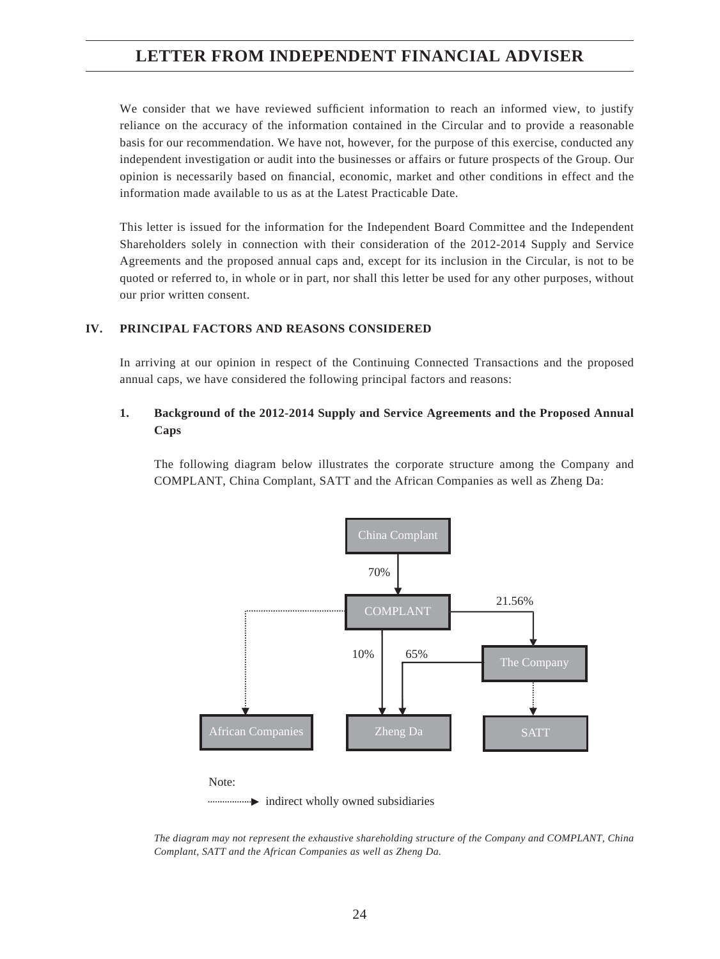We consider that we have reviewed sufficient information to reach an informed view, to justify reliance on the accuracy of the information contained in the Circular and to provide a reasonable basis for our recommendation. We have not, however, for the purpose of this exercise, conducted any independent investigation or audit into the businesses or affairs or future prospects of the Group. Our opinion is necessarily based on financial, economic, market and other conditions in effect and the information made available to us as at the Latest Practicable Date.

This letter is issued for the information for the Independent Board Committee and the Independent Shareholders solely in connection with their consideration of the 2012-2014 Supply and Service Agreements and the proposed annual caps and, except for its inclusion in the Circular, is not to be quoted or referred to, in whole or in part, nor shall this letter be used for any other purposes, without our prior written consent.

### **IV. PRINCIPAL FACTORS AND REASONS CONSIDERED**

In arriving at our opinion in respect of the Continuing Connected Transactions and the proposed annual caps, we have considered the following principal factors and reasons:

## **1. Background of the 2012-2014 Supply and Service Agreements and the Proposed Annual Caps**

The following diagram below illustrates the corporate structure among the Company and COMPLANT, China Complant, SATT and the African Companies as well as Zheng Da:



*The diagram may not represent the exhaustive shareholding structure of the Company and COMPLANT, China Complant, SATT and the African Companies as well as Zheng Da.*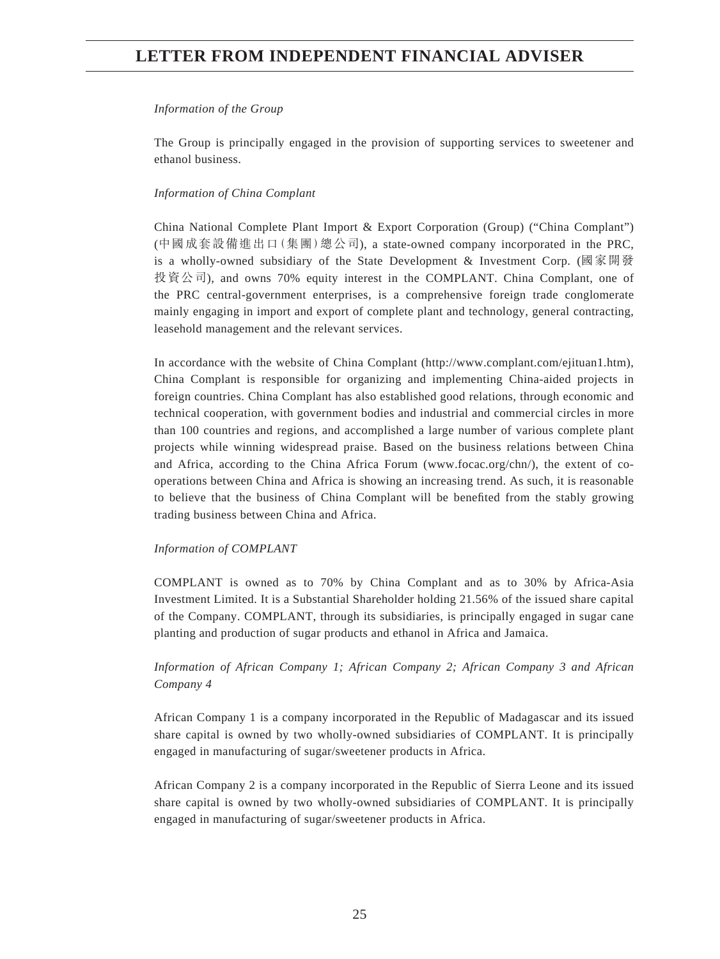#### *Information of the Group*

The Group is principally engaged in the provision of supporting services to sweetener and ethanol business.

### *Information of China Complant*

China National Complete Plant Import & Export Corporation (Group) ("China Complant") (中國成套設備進出口(集團)總公司), a state-owned company incorporated in the PRC, is a wholly-owned subsidiary of the State Development & Investment Corp. (國家開發 投資公司), and owns 70% equity interest in the COMPLANT. China Complant, one of the PRC central-government enterprises, is a comprehensive foreign trade conglomerate mainly engaging in import and export of complete plant and technology, general contracting, leasehold management and the relevant services.

In accordance with the website of China Complant (http://www.complant.com/ejituan1.htm), China Complant is responsible for organizing and implementing China-aided projects in foreign countries. China Complant has also established good relations, through economic and technical cooperation, with government bodies and industrial and commercial circles in more than 100 countries and regions, and accomplished a large number of various complete plant projects while winning widespread praise. Based on the business relations between China and Africa, according to the China Africa Forum (www.focac.org/chn/), the extent of cooperations between China and Africa is showing an increasing trend. As such, it is reasonable to believe that the business of China Complant will be benefited from the stably growing trading business between China and Africa.

### *Information of COMPLANT*

COMPLANT is owned as to 70% by China Complant and as to 30% by Africa-Asia Investment Limited. It is a Substantial Shareholder holding 21.56% of the issued share capital of the Company. COMPLANT, through its subsidiaries, is principally engaged in sugar cane planting and production of sugar products and ethanol in Africa and Jamaica.

## *Information of African Company 1; African Company 2; African Company 3 and African Company 4*

African Company 1 is a company incorporated in the Republic of Madagascar and its issued share capital is owned by two wholly-owned subsidiaries of COMPLANT. It is principally engaged in manufacturing of sugar/sweetener products in Africa.

African Company 2 is a company incorporated in the Republic of Sierra Leone and its issued share capital is owned by two wholly-owned subsidiaries of COMPLANT. It is principally engaged in manufacturing of sugar/sweetener products in Africa.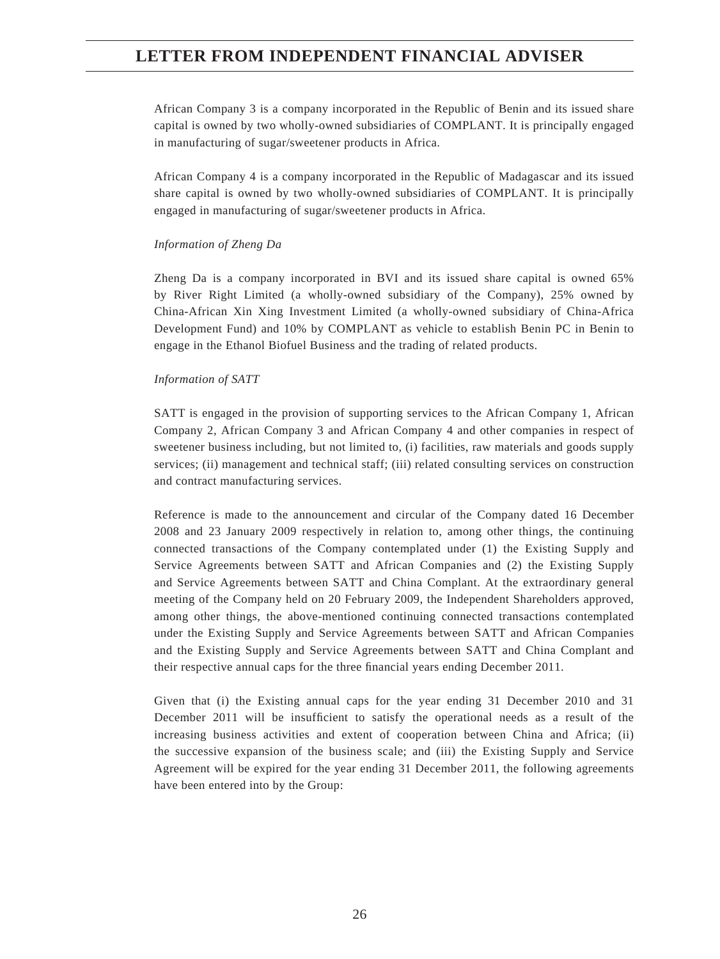African Company 3 is a company incorporated in the Republic of Benin and its issued share capital is owned by two wholly-owned subsidiaries of COMPLANT. It is principally engaged in manufacturing of sugar/sweetener products in Africa.

African Company 4 is a company incorporated in the Republic of Madagascar and its issued share capital is owned by two wholly-owned subsidiaries of COMPLANT. It is principally engaged in manufacturing of sugar/sweetener products in Africa.

#### *Information of Zheng Da*

Zheng Da is a company incorporated in BVI and its issued share capital is owned 65% by River Right Limited (a wholly-owned subsidiary of the Company), 25% owned by China-African Xin Xing Investment Limited (a wholly-owned subsidiary of China-Africa Development Fund) and 10% by COMPLANT as vehicle to establish Benin PC in Benin to engage in the Ethanol Biofuel Business and the trading of related products.

#### *Information of SATT*

SATT is engaged in the provision of supporting services to the African Company 1, African Company 2, African Company 3 and African Company 4 and other companies in respect of sweetener business including, but not limited to, (i) facilities, raw materials and goods supply services; (ii) management and technical staff; (iii) related consulting services on construction and contract manufacturing services.

Reference is made to the announcement and circular of the Company dated 16 December 2008 and 23 January 2009 respectively in relation to, among other things, the continuing connected transactions of the Company contemplated under (1) the Existing Supply and Service Agreements between SATT and African Companies and (2) the Existing Supply and Service Agreements between SATT and China Complant. At the extraordinary general meeting of the Company held on 20 February 2009, the Independent Shareholders approved, among other things, the above-mentioned continuing connected transactions contemplated under the Existing Supply and Service Agreements between SATT and African Companies and the Existing Supply and Service Agreements between SATT and China Complant and their respective annual caps for the three financial years ending December 2011.

Given that (i) the Existing annual caps for the year ending 31 December 2010 and 31 December 2011 will be insufficient to satisfy the operational needs as a result of the increasing business activities and extent of cooperation between China and Africa; (ii) the successive expansion of the business scale; and (iii) the Existing Supply and Service Agreement will be expired for the year ending 31 December 2011, the following agreements have been entered into by the Group: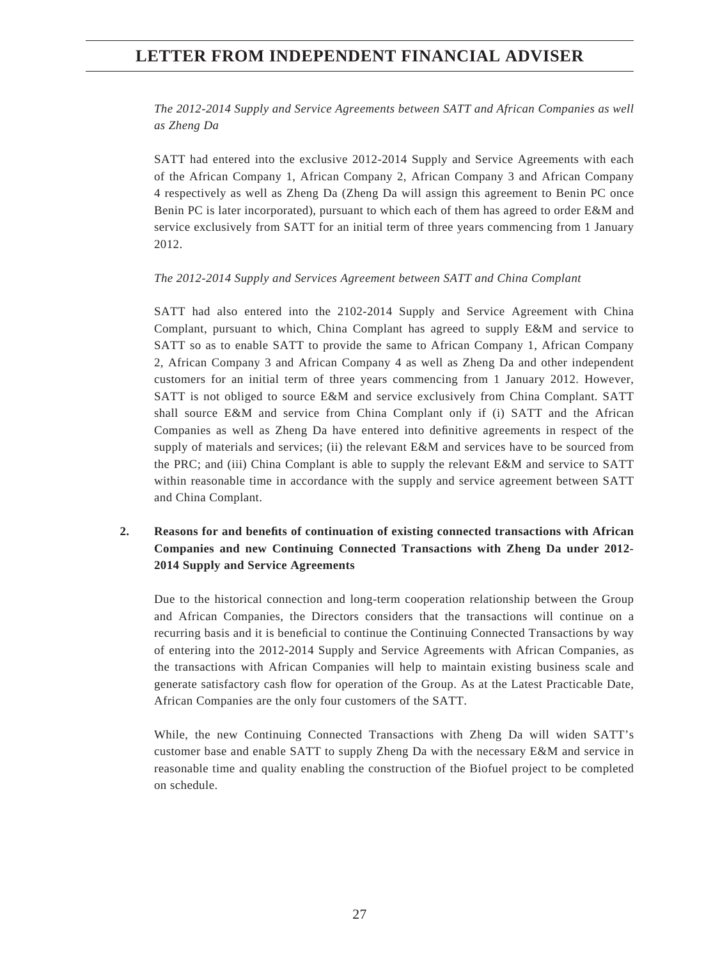*The 2012-2014 Supply and Service Agreements between SATT and African Companies as well as Zheng Da*

SATT had entered into the exclusive 2012-2014 Supply and Service Agreements with each of the African Company 1, African Company 2, African Company 3 and African Company 4 respectively as well as Zheng Da (Zheng Da will assign this agreement to Benin PC once Benin PC is later incorporated), pursuant to which each of them has agreed to order E&M and service exclusively from SATT for an initial term of three years commencing from 1 January 2012.

#### *The 2012-2014 Supply and Services Agreement between SATT and China Complant*

SATT had also entered into the 2102-2014 Supply and Service Agreement with China Complant, pursuant to which, China Complant has agreed to supply E&M and service to SATT so as to enable SATT to provide the same to African Company 1, African Company 2, African Company 3 and African Company 4 as well as Zheng Da and other independent customers for an initial term of three years commencing from 1 January 2012. However, SATT is not obliged to source E&M and service exclusively from China Complant. SATT shall source E&M and service from China Complant only if (i) SATT and the African Companies as well as Zheng Da have entered into definitive agreements in respect of the supply of materials and services; (ii) the relevant E&M and services have to be sourced from the PRC; and (iii) China Complant is able to supply the relevant E&M and service to SATT within reasonable time in accordance with the supply and service agreement between SATT and China Complant.

## **2. Reasons for and benefi ts of continuation of existing connected transactions with African Companies and new Continuing Connected Transactions with Zheng Da under 2012- 2014 Supply and Service Agreements**

Due to the historical connection and long-term cooperation relationship between the Group and African Companies, the Directors considers that the transactions will continue on a recurring basis and it is beneficial to continue the Continuing Connected Transactions by way of entering into the 2012-2014 Supply and Service Agreements with African Companies, as the transactions with African Companies will help to maintain existing business scale and generate satisfactory cash flow for operation of the Group. As at the Latest Practicable Date, African Companies are the only four customers of the SATT.

While, the new Continuing Connected Transactions with Zheng Da will widen SATT's customer base and enable SATT to supply Zheng Da with the necessary E&M and service in reasonable time and quality enabling the construction of the Biofuel project to be completed on schedule.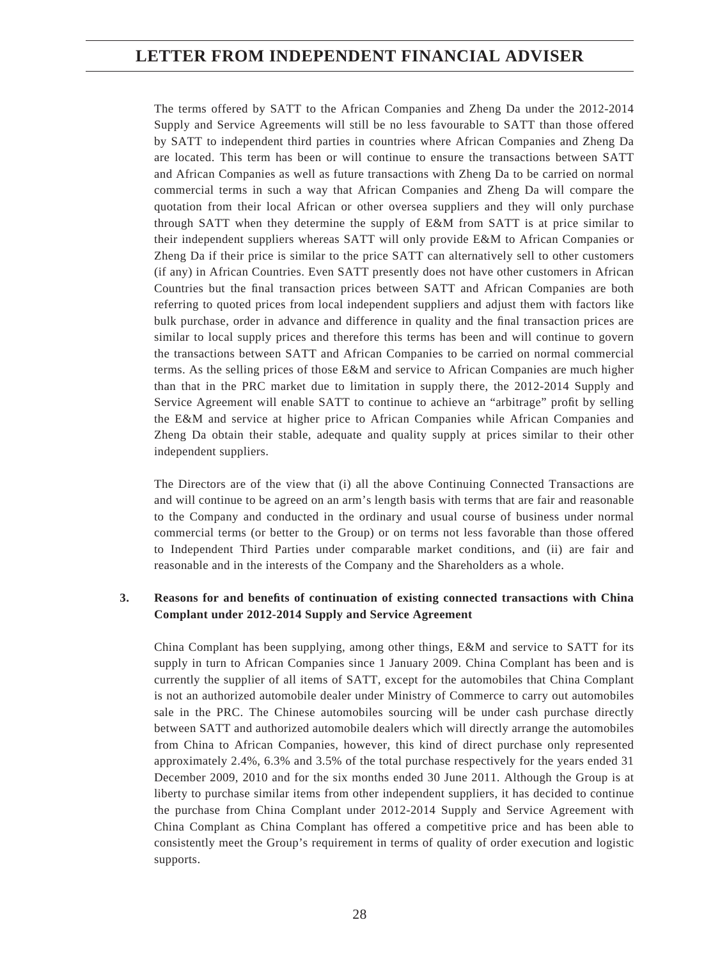The terms offered by SATT to the African Companies and Zheng Da under the 2012-2014 Supply and Service Agreements will still be no less favourable to SATT than those offered by SATT to independent third parties in countries where African Companies and Zheng Da are located. This term has been or will continue to ensure the transactions between SATT and African Companies as well as future transactions with Zheng Da to be carried on normal commercial terms in such a way that African Companies and Zheng Da will compare the quotation from their local African or other oversea suppliers and they will only purchase through SATT when they determine the supply of E&M from SATT is at price similar to their independent suppliers whereas SATT will only provide E&M to African Companies or Zheng Da if their price is similar to the price SATT can alternatively sell to other customers (if any) in African Countries. Even SATT presently does not have other customers in African Countries but the final transaction prices between SATT and African Companies are both referring to quoted prices from local independent suppliers and adjust them with factors like bulk purchase, order in advance and difference in quality and the final transaction prices are similar to local supply prices and therefore this terms has been and will continue to govern the transactions between SATT and African Companies to be carried on normal commercial terms. As the selling prices of those E&M and service to African Companies are much higher than that in the PRC market due to limitation in supply there, the 2012-2014 Supply and Service Agreement will enable SATT to continue to achieve an "arbitrage" profit by selling the E&M and service at higher price to African Companies while African Companies and Zheng Da obtain their stable, adequate and quality supply at prices similar to their other independent suppliers.

The Directors are of the view that (i) all the above Continuing Connected Transactions are and will continue to be agreed on an arm's length basis with terms that are fair and reasonable to the Company and conducted in the ordinary and usual course of business under normal commercial terms (or better to the Group) or on terms not less favorable than those offered to Independent Third Parties under comparable market conditions, and (ii) are fair and reasonable and in the interests of the Company and the Shareholders as a whole.

## **3.** Reasons for and benefits of continuation of existing connected transactions with China **Complant under 2012-2014 Supply and Service Agreement**

China Complant has been supplying, among other things, E&M and service to SATT for its supply in turn to African Companies since 1 January 2009. China Complant has been and is currently the supplier of all items of SATT, except for the automobiles that China Complant is not an authorized automobile dealer under Ministry of Commerce to carry out automobiles sale in the PRC. The Chinese automobiles sourcing will be under cash purchase directly between SATT and authorized automobile dealers which will directly arrange the automobiles from China to African Companies, however, this kind of direct purchase only represented approximately 2.4%, 6.3% and 3.5% of the total purchase respectively for the years ended 31 December 2009, 2010 and for the six months ended 30 June 2011. Although the Group is at liberty to purchase similar items from other independent suppliers, it has decided to continue the purchase from China Complant under 2012-2014 Supply and Service Agreement with China Complant as China Complant has offered a competitive price and has been able to consistently meet the Group's requirement in terms of quality of order execution and logistic supports.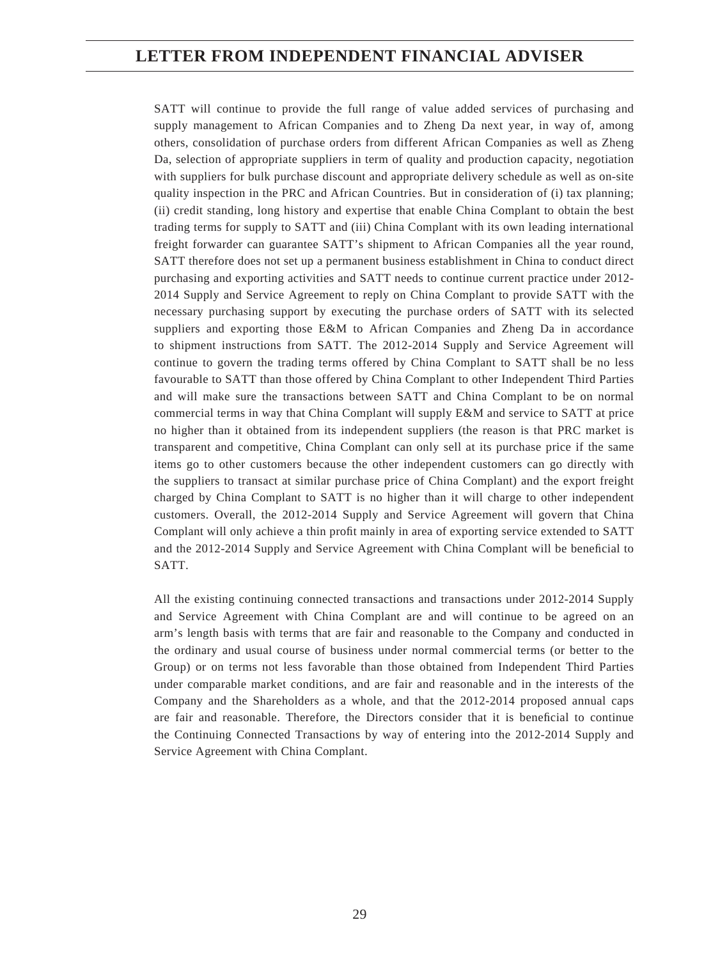SATT will continue to provide the full range of value added services of purchasing and supply management to African Companies and to Zheng Da next year, in way of, among others, consolidation of purchase orders from different African Companies as well as Zheng Da, selection of appropriate suppliers in term of quality and production capacity, negotiation with suppliers for bulk purchase discount and appropriate delivery schedule as well as on-site quality inspection in the PRC and African Countries. But in consideration of (i) tax planning; (ii) credit standing, long history and expertise that enable China Complant to obtain the best trading terms for supply to SATT and (iii) China Complant with its own leading international freight forwarder can guarantee SATT's shipment to African Companies all the year round, SATT therefore does not set up a permanent business establishment in China to conduct direct purchasing and exporting activities and SATT needs to continue current practice under 2012- 2014 Supply and Service Agreement to reply on China Complant to provide SATT with the necessary purchasing support by executing the purchase orders of SATT with its selected suppliers and exporting those E&M to African Companies and Zheng Da in accordance to shipment instructions from SATT. The 2012-2014 Supply and Service Agreement will continue to govern the trading terms offered by China Complant to SATT shall be no less favourable to SATT than those offered by China Complant to other Independent Third Parties and will make sure the transactions between SATT and China Complant to be on normal commercial terms in way that China Complant will supply E&M and service to SATT at price no higher than it obtained from its independent suppliers (the reason is that PRC market is transparent and competitive, China Complant can only sell at its purchase price if the same items go to other customers because the other independent customers can go directly with the suppliers to transact at similar purchase price of China Complant) and the export freight charged by China Complant to SATT is no higher than it will charge to other independent customers. Overall, the 2012-2014 Supply and Service Agreement will govern that China Complant will only achieve a thin profit mainly in area of exporting service extended to SATT and the 2012-2014 Supply and Service Agreement with China Complant will be beneficial to SATT.

All the existing continuing connected transactions and transactions under 2012-2014 Supply and Service Agreement with China Complant are and will continue to be agreed on an arm's length basis with terms that are fair and reasonable to the Company and conducted in the ordinary and usual course of business under normal commercial terms (or better to the Group) or on terms not less favorable than those obtained from Independent Third Parties under comparable market conditions, and are fair and reasonable and in the interests of the Company and the Shareholders as a whole, and that the 2012-2014 proposed annual caps are fair and reasonable. Therefore, the Directors consider that it is beneficial to continue the Continuing Connected Transactions by way of entering into the 2012-2014 Supply and Service Agreement with China Complant.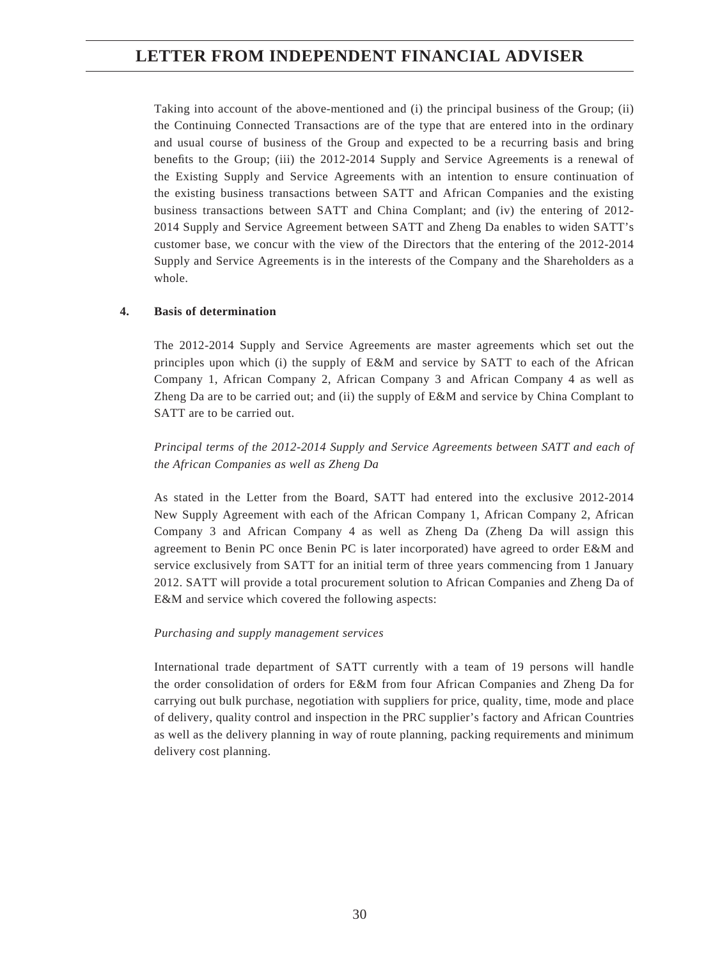Taking into account of the above-mentioned and (i) the principal business of the Group; (ii) the Continuing Connected Transactions are of the type that are entered into in the ordinary and usual course of business of the Group and expected to be a recurring basis and bring benefits to the Group; (iii) the 2012-2014 Supply and Service Agreements is a renewal of the Existing Supply and Service Agreements with an intention to ensure continuation of the existing business transactions between SATT and African Companies and the existing business transactions between SATT and China Complant; and (iv) the entering of 2012- 2014 Supply and Service Agreement between SATT and Zheng Da enables to widen SATT's customer base, we concur with the view of the Directors that the entering of the 2012-2014 Supply and Service Agreements is in the interests of the Company and the Shareholders as a whole.

## **4. Basis of determination**

The 2012-2014 Supply and Service Agreements are master agreements which set out the principles upon which (i) the supply of E&M and service by SATT to each of the African Company 1, African Company 2, African Company 3 and African Company 4 as well as Zheng Da are to be carried out; and (ii) the supply of E&M and service by China Complant to SATT are to be carried out.

*Principal terms of the 2012-2014 Supply and Service Agreements between SATT and each of the African Companies as well as Zheng Da*

As stated in the Letter from the Board, SATT had entered into the exclusive 2012-2014 New Supply Agreement with each of the African Company 1, African Company 2, African Company 3 and African Company 4 as well as Zheng Da (Zheng Da will assign this agreement to Benin PC once Benin PC is later incorporated) have agreed to order E&M and service exclusively from SATT for an initial term of three years commencing from 1 January 2012. SATT will provide a total procurement solution to African Companies and Zheng Da of E&M and service which covered the following aspects:

### *Purchasing and supply management services*

International trade department of SATT currently with a team of 19 persons will handle the order consolidation of orders for E&M from four African Companies and Zheng Da for carrying out bulk purchase, negotiation with suppliers for price, quality, time, mode and place of delivery, quality control and inspection in the PRC supplier's factory and African Countries as well as the delivery planning in way of route planning, packing requirements and minimum delivery cost planning.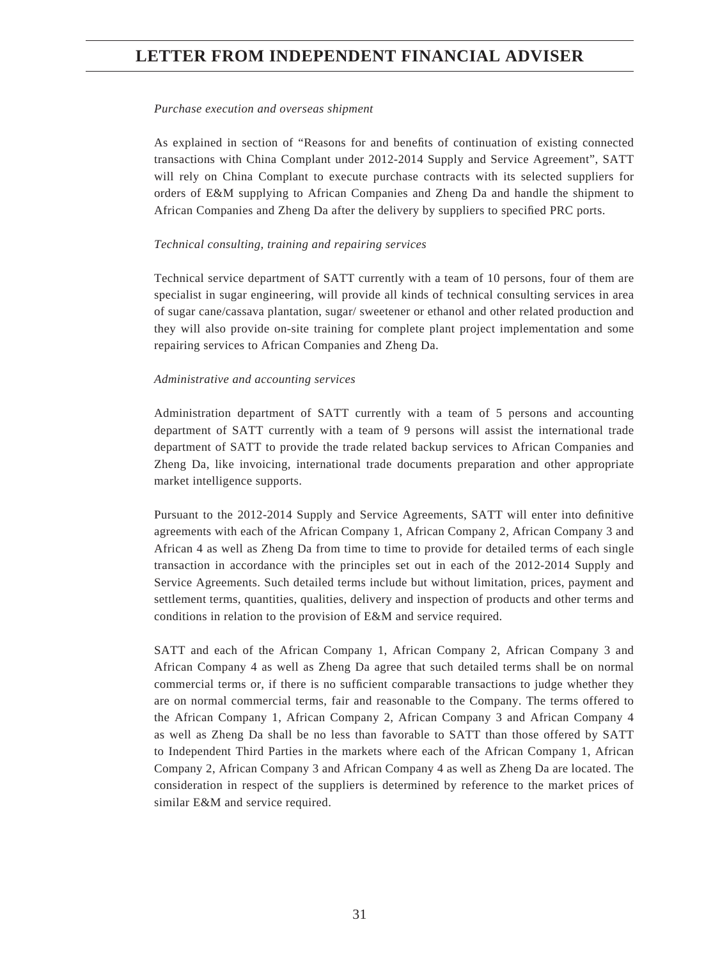#### *Purchase execution and overseas shipment*

As explained in section of "Reasons for and benefits of continuation of existing connected transactions with China Complant under 2012-2014 Supply and Service Agreement", SATT will rely on China Complant to execute purchase contracts with its selected suppliers for orders of E&M supplying to African Companies and Zheng Da and handle the shipment to African Companies and Zheng Da after the delivery by suppliers to specified PRC ports.

#### *Technical consulting, training and repairing services*

Technical service department of SATT currently with a team of 10 persons, four of them are specialist in sugar engineering, will provide all kinds of technical consulting services in area of sugar cane/cassava plantation, sugar/ sweetener or ethanol and other related production and they will also provide on-site training for complete plant project implementation and some repairing services to African Companies and Zheng Da.

#### *Administrative and accounting services*

Administration department of SATT currently with a team of 5 persons and accounting department of SATT currently with a team of 9 persons will assist the international trade department of SATT to provide the trade related backup services to African Companies and Zheng Da, like invoicing, international trade documents preparation and other appropriate market intelligence supports.

Pursuant to the 2012-2014 Supply and Service Agreements, SATT will enter into definitive agreements with each of the African Company 1, African Company 2, African Company 3 and African 4 as well as Zheng Da from time to time to provide for detailed terms of each single transaction in accordance with the principles set out in each of the 2012-2014 Supply and Service Agreements. Such detailed terms include but without limitation, prices, payment and settlement terms, quantities, qualities, delivery and inspection of products and other terms and conditions in relation to the provision of E&M and service required.

SATT and each of the African Company 1, African Company 2, African Company 3 and African Company 4 as well as Zheng Da agree that such detailed terms shall be on normal commercial terms or, if there is no sufficient comparable transactions to judge whether they are on normal commercial terms, fair and reasonable to the Company. The terms offered to the African Company 1, African Company 2, African Company 3 and African Company 4 as well as Zheng Da shall be no less than favorable to SATT than those offered by SATT to Independent Third Parties in the markets where each of the African Company 1, African Company 2, African Company 3 and African Company 4 as well as Zheng Da are located. The consideration in respect of the suppliers is determined by reference to the market prices of similar E&M and service required.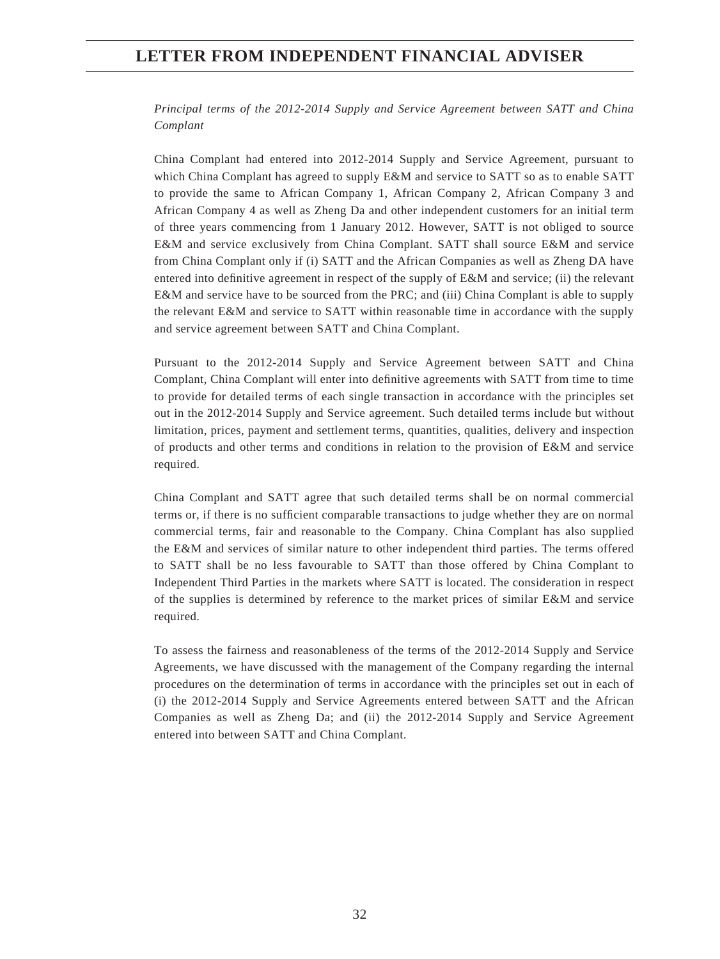*Principal terms of the 2012-2014 Supply and Service Agreement between SATT and China Complant*

China Complant had entered into 2012-2014 Supply and Service Agreement, pursuant to which China Complant has agreed to supply E&M and service to SATT so as to enable SATT to provide the same to African Company 1, African Company 2, African Company 3 and African Company 4 as well as Zheng Da and other independent customers for an initial term of three years commencing from 1 January 2012. However, SATT is not obliged to source E&M and service exclusively from China Complant. SATT shall source E&M and service from China Complant only if (i) SATT and the African Companies as well as Zheng DA have entered into definitive agreement in respect of the supply of  $E\&M$  and service; (ii) the relevant E&M and service have to be sourced from the PRC; and (iii) China Complant is able to supply the relevant E&M and service to SATT within reasonable time in accordance with the supply and service agreement between SATT and China Complant.

Pursuant to the 2012-2014 Supply and Service Agreement between SATT and China Complant, China Complant will enter into definitive agreements with SATT from time to time to provide for detailed terms of each single transaction in accordance with the principles set out in the 2012-2014 Supply and Service agreement. Such detailed terms include but without limitation, prices, payment and settlement terms, quantities, qualities, delivery and inspection of products and other terms and conditions in relation to the provision of E&M and service required.

China Complant and SATT agree that such detailed terms shall be on normal commercial terms or, if there is no sufficient comparable transactions to judge whether they are on normal commercial terms, fair and reasonable to the Company. China Complant has also supplied the E&M and services of similar nature to other independent third parties. The terms offered to SATT shall be no less favourable to SATT than those offered by China Complant to Independent Third Parties in the markets where SATT is located. The consideration in respect of the supplies is determined by reference to the market prices of similar E&M and service required.

To assess the fairness and reasonableness of the terms of the 2012-2014 Supply and Service Agreements, we have discussed with the management of the Company regarding the internal procedures on the determination of terms in accordance with the principles set out in each of (i) the 2012-2014 Supply and Service Agreements entered between SATT and the African Companies as well as Zheng Da; and (ii) the 2012-2014 Supply and Service Agreement entered into between SATT and China Complant.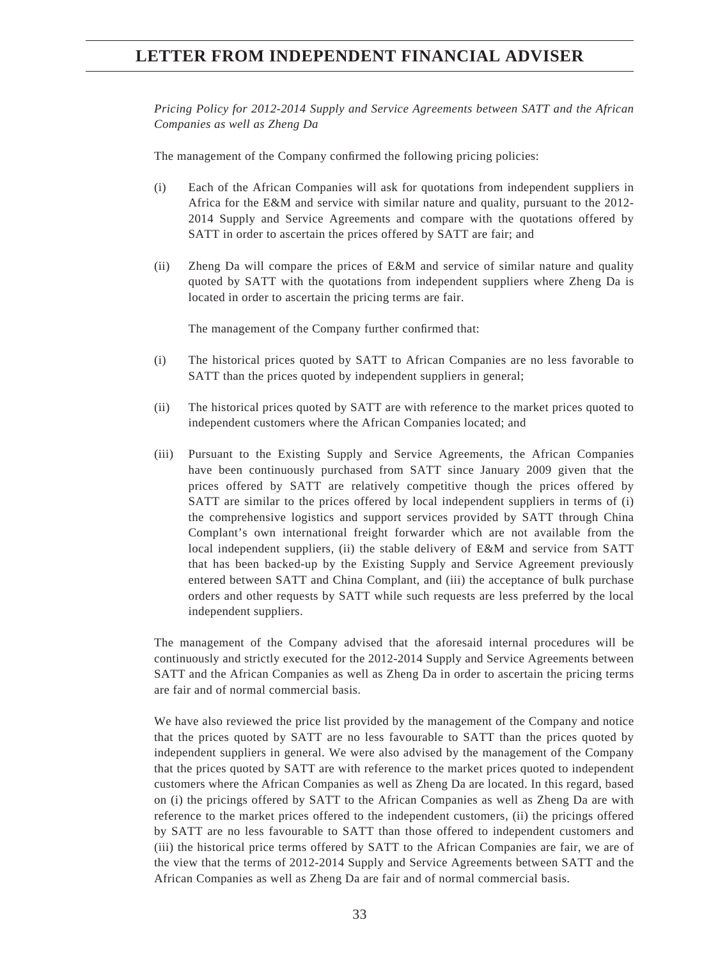*Pricing Policy for 2012-2014 Supply and Service Agreements between SATT and the African Companies as well as Zheng Da*

The management of the Company confirmed the following pricing policies:

- (i) Each of the African Companies will ask for quotations from independent suppliers in Africa for the E&M and service with similar nature and quality, pursuant to the 2012- 2014 Supply and Service Agreements and compare with the quotations offered by SATT in order to ascertain the prices offered by SATT are fair; and
- (ii) Zheng Da will compare the prices of E&M and service of similar nature and quality quoted by SATT with the quotations from independent suppliers where Zheng Da is located in order to ascertain the pricing terms are fair.

The management of the Company further confirmed that:

- (i) The historical prices quoted by SATT to African Companies are no less favorable to SATT than the prices quoted by independent suppliers in general;
- (ii) The historical prices quoted by SATT are with reference to the market prices quoted to independent customers where the African Companies located; and
- (iii) Pursuant to the Existing Supply and Service Agreements, the African Companies have been continuously purchased from SATT since January 2009 given that the prices offered by SATT are relatively competitive though the prices offered by SATT are similar to the prices offered by local independent suppliers in terms of (i) the comprehensive logistics and support services provided by SATT through China Complant's own international freight forwarder which are not available from the local independent suppliers, (ii) the stable delivery of E&M and service from SATT that has been backed-up by the Existing Supply and Service Agreement previously entered between SATT and China Complant, and (iii) the acceptance of bulk purchase orders and other requests by SATT while such requests are less preferred by the local independent suppliers.

The management of the Company advised that the aforesaid internal procedures will be continuously and strictly executed for the 2012-2014 Supply and Service Agreements between SATT and the African Companies as well as Zheng Da in order to ascertain the pricing terms are fair and of normal commercial basis.

We have also reviewed the price list provided by the management of the Company and notice that the prices quoted by SATT are no less favourable to SATT than the prices quoted by independent suppliers in general. We were also advised by the management of the Company that the prices quoted by SATT are with reference to the market prices quoted to independent customers where the African Companies as well as Zheng Da are located. In this regard, based on (i) the pricings offered by SATT to the African Companies as well as Zheng Da are with reference to the market prices offered to the independent customers, (ii) the pricings offered by SATT are no less favourable to SATT than those offered to independent customers and (iii) the historical price terms offered by SATT to the African Companies are fair, we are of the view that the terms of 2012-2014 Supply and Service Agreements between SATT and the African Companies as well as Zheng Da are fair and of normal commercial basis.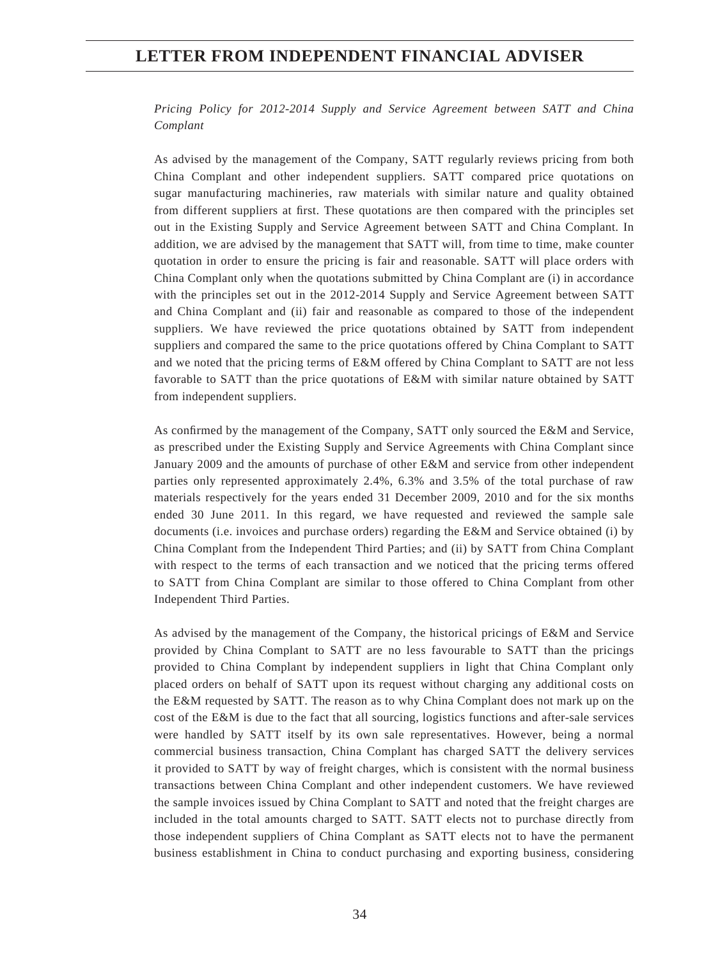*Pricing Policy for 2012-2014 Supply and Service Agreement between SATT and China Complant*

As advised by the management of the Company, SATT regularly reviews pricing from both China Complant and other independent suppliers. SATT compared price quotations on sugar manufacturing machineries, raw materials with similar nature and quality obtained from different suppliers at first. These quotations are then compared with the principles set out in the Existing Supply and Service Agreement between SATT and China Complant. In addition, we are advised by the management that SATT will, from time to time, make counter quotation in order to ensure the pricing is fair and reasonable. SATT will place orders with China Complant only when the quotations submitted by China Complant are (i) in accordance with the principles set out in the 2012-2014 Supply and Service Agreement between SATT and China Complant and (ii) fair and reasonable as compared to those of the independent suppliers. We have reviewed the price quotations obtained by SATT from independent suppliers and compared the same to the price quotations offered by China Complant to SATT and we noted that the pricing terms of E&M offered by China Complant to SATT are not less favorable to SATT than the price quotations of E&M with similar nature obtained by SATT from independent suppliers.

As confirmed by the management of the Company, SATT only sourced the E&M and Service, as prescribed under the Existing Supply and Service Agreements with China Complant since January 2009 and the amounts of purchase of other E&M and service from other independent parties only represented approximately 2.4%, 6.3% and 3.5% of the total purchase of raw materials respectively for the years ended 31 December 2009, 2010 and for the six months ended 30 June 2011. In this regard, we have requested and reviewed the sample sale documents (i.e. invoices and purchase orders) regarding the E&M and Service obtained (i) by China Complant from the Independent Third Parties; and (ii) by SATT from China Complant with respect to the terms of each transaction and we noticed that the pricing terms offered to SATT from China Complant are similar to those offered to China Complant from other Independent Third Parties.

As advised by the management of the Company, the historical pricings of E&M and Service provided by China Complant to SATT are no less favourable to SATT than the pricings provided to China Complant by independent suppliers in light that China Complant only placed orders on behalf of SATT upon its request without charging any additional costs on the E&M requested by SATT. The reason as to why China Complant does not mark up on the cost of the E&M is due to the fact that all sourcing, logistics functions and after-sale services were handled by SATT itself by its own sale representatives. However, being a normal commercial business transaction, China Complant has charged SATT the delivery services it provided to SATT by way of freight charges, which is consistent with the normal business transactions between China Complant and other independent customers. We have reviewed the sample invoices issued by China Complant to SATT and noted that the freight charges are included in the total amounts charged to SATT. SATT elects not to purchase directly from those independent suppliers of China Complant as SATT elects not to have the permanent business establishment in China to conduct purchasing and exporting business, considering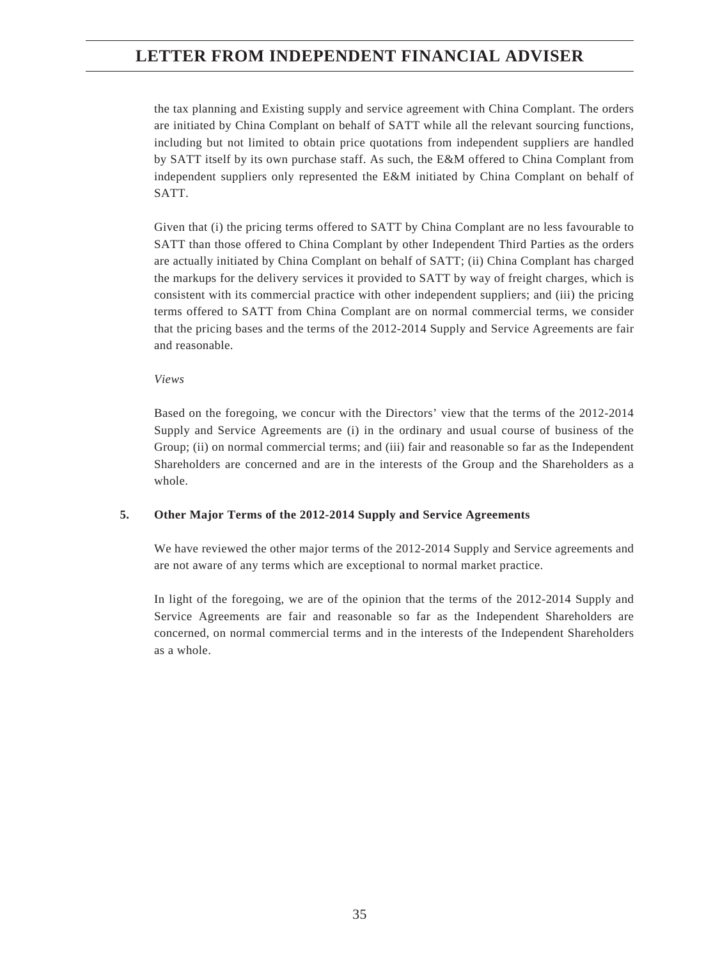the tax planning and Existing supply and service agreement with China Complant. The orders are initiated by China Complant on behalf of SATT while all the relevant sourcing functions, including but not limited to obtain price quotations from independent suppliers are handled by SATT itself by its own purchase staff. As such, the E&M offered to China Complant from independent suppliers only represented the E&M initiated by China Complant on behalf of SATT.

Given that (i) the pricing terms offered to SATT by China Complant are no less favourable to SATT than those offered to China Complant by other Independent Third Parties as the orders are actually initiated by China Complant on behalf of SATT; (ii) China Complant has charged the markups for the delivery services it provided to SATT by way of freight charges, which is consistent with its commercial practice with other independent suppliers; and (iii) the pricing terms offered to SATT from China Complant are on normal commercial terms, we consider that the pricing bases and the terms of the 2012-2014 Supply and Service Agreements are fair and reasonable.

#### *Views*

Based on the foregoing, we concur with the Directors' view that the terms of the 2012-2014 Supply and Service Agreements are (i) in the ordinary and usual course of business of the Group; (ii) on normal commercial terms; and (iii) fair and reasonable so far as the Independent Shareholders are concerned and are in the interests of the Group and the Shareholders as a whole.

### **5. Other Major Terms of the 2012-2014 Supply and Service Agreements**

We have reviewed the other major terms of the 2012-2014 Supply and Service agreements and are not aware of any terms which are exceptional to normal market practice.

In light of the foregoing, we are of the opinion that the terms of the 2012-2014 Supply and Service Agreements are fair and reasonable so far as the Independent Shareholders are concerned, on normal commercial terms and in the interests of the Independent Shareholders as a whole.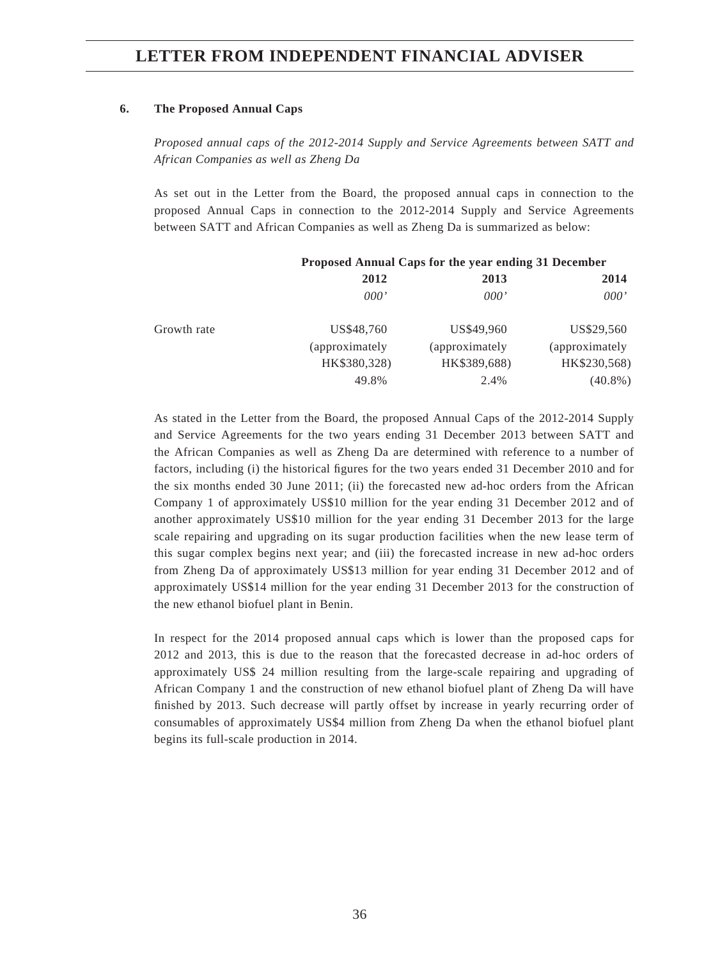### **6. The Proposed Annual Caps**

*Proposed annual caps of the 2012-2014 Supply and Service Agreements between SATT and African Companies as well as Zheng Da*

As set out in the Letter from the Board, the proposed annual caps in connection to the proposed Annual Caps in connection to the 2012-2014 Supply and Service Agreements between SATT and African Companies as well as Zheng Da is summarized as below:

|             | Proposed Annual Caps for the year ending 31 December |                 |                |
|-------------|------------------------------------------------------|-----------------|----------------|
|             | 2012<br>2013                                         |                 | 2014           |
|             | 000'                                                 | 000'            | 000'           |
| Growth rate | US\$48.760                                           | US\$49,960      | US\$29.560     |
|             | (approximately)                                      | (approximately) | (approximately |
|             | HK\$380,328)                                         | HK\$389,688)    | HK\$230,568)   |
|             | 49.8%                                                | 2.4%            | $(40.8\%)$     |

As stated in the Letter from the Board, the proposed Annual Caps of the 2012-2014 Supply and Service Agreements for the two years ending 31 December 2013 between SATT and the African Companies as well as Zheng Da are determined with reference to a number of factors, including (i) the historical figures for the two years ended 31 December 2010 and for the six months ended 30 June 2011; (ii) the forecasted new ad-hoc orders from the African Company 1 of approximately US\$10 million for the year ending 31 December 2012 and of another approximately US\$10 million for the year ending 31 December 2013 for the large scale repairing and upgrading on its sugar production facilities when the new lease term of this sugar complex begins next year; and (iii) the forecasted increase in new ad-hoc orders from Zheng Da of approximately US\$13 million for year ending 31 December 2012 and of approximately US\$14 million for the year ending 31 December 2013 for the construction of the new ethanol biofuel plant in Benin.

In respect for the 2014 proposed annual caps which is lower than the proposed caps for 2012 and 2013, this is due to the reason that the forecasted decrease in ad-hoc orders of approximately US\$ 24 million resulting from the large-scale repairing and upgrading of African Company 1 and the construction of new ethanol biofuel plant of Zheng Da will have finished by 2013. Such decrease will partly offset by increase in yearly recurring order of consumables of approximately US\$4 million from Zheng Da when the ethanol biofuel plant begins its full-scale production in 2014.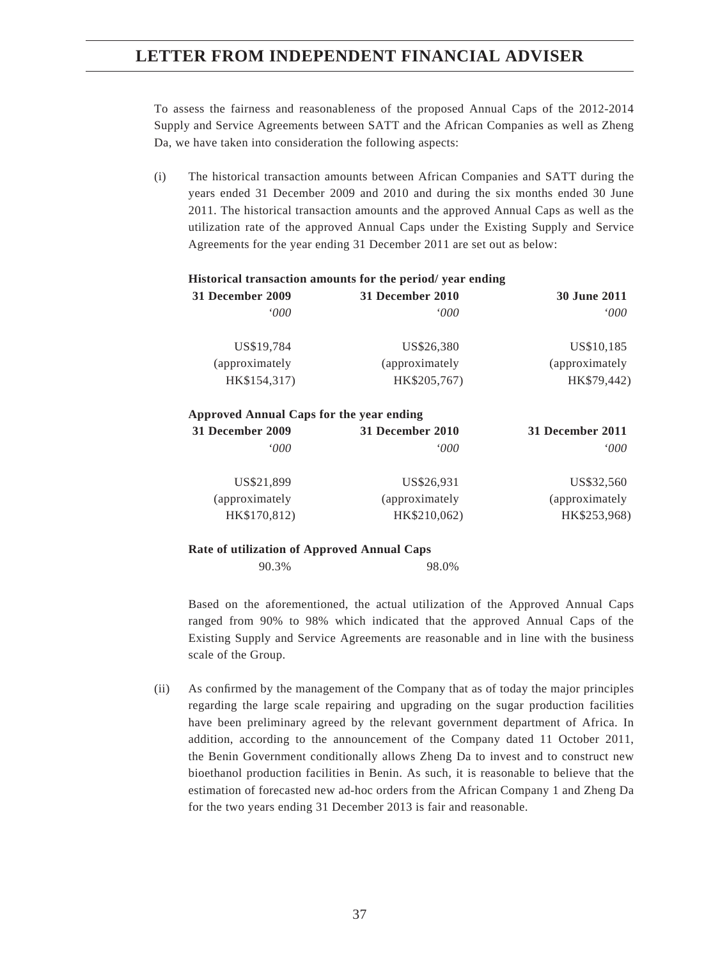To assess the fairness and reasonableness of the proposed Annual Caps of the 2012-2014 Supply and Service Agreements between SATT and the African Companies as well as Zheng Da, we have taken into consideration the following aspects:

(i) The historical transaction amounts between African Companies and SATT during the years ended 31 December 2009 and 2010 and during the six months ended 30 June 2011. The historical transaction amounts and the approved Annual Caps as well as the utilization rate of the approved Annual Caps under the Existing Supply and Service Agreements for the year ending 31 December 2011 are set out as below:

#### **Historical transaction amounts for the period/ year ending 31 December 2009 31 December 2010 30 June 2011**

| JV JUNU <i>A</i> VII | 51 December 2010 | '1 DUUUHUUL <i>4</i> 00 <i>)</i> |
|----------------------|------------------|----------------------------------|
| 000'                 | '000             | <i>000</i>                       |
| US\$10,185           | US\$26,380       | US\$19,784                       |
| (approximately       | (approximately)  | (approximately                   |
| HK\$79,442)          | HK\$205,767)     | HK\$154,317)                     |
|                      |                  |                                  |

#### **Approved Annual Caps for the year ending 31 December 2009 31 December 2010 31 December 2011** *'000 '000 '000* US\$21,899 US\$26,931 US\$25,560 (approximately HK\$170,812) (approximately HK\$210,062) (approximately HK\$253,968)

#### **Rate of utilization of Approved Annual Caps**

90.3% 98.0%

 Based on the aforementioned, the actual utilization of the Approved Annual Caps ranged from 90% to 98% which indicated that the approved Annual Caps of the Existing Supply and Service Agreements are reasonable and in line with the business scale of the Group.

(ii) As confirmed by the management of the Company that as of today the major principles regarding the large scale repairing and upgrading on the sugar production facilities have been preliminary agreed by the relevant government department of Africa. In addition, according to the announcement of the Company dated 11 October 2011, the Benin Government conditionally allows Zheng Da to invest and to construct new bioethanol production facilities in Benin. As such, it is reasonable to believe that the estimation of forecasted new ad-hoc orders from the African Company 1 and Zheng Da for the two years ending 31 December 2013 is fair and reasonable.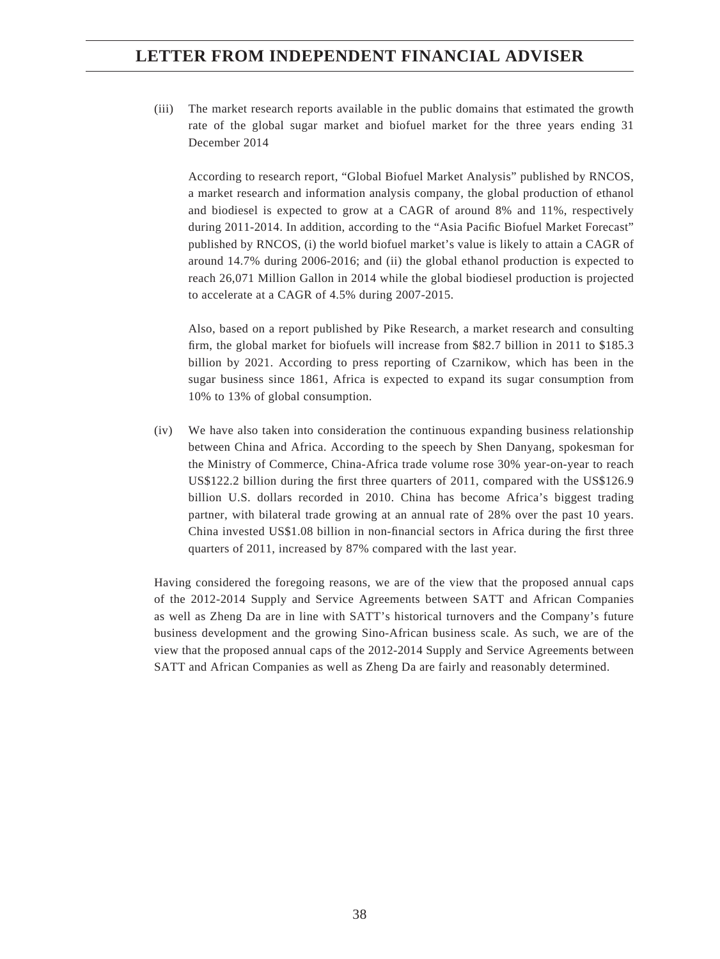(iii) The market research reports available in the public domains that estimated the growth rate of the global sugar market and biofuel market for the three years ending 31 December 2014

 According to research report, "Global Biofuel Market Analysis" published by RNCOS, a market research and information analysis company, the global production of ethanol and biodiesel is expected to grow at a CAGR of around 8% and 11%, respectively during 2011-2014. In addition, according to the "Asia Pacific Biofuel Market Forecast" published by RNCOS, (i) the world biofuel market's value is likely to attain a CAGR of around 14.7% during 2006-2016; and (ii) the global ethanol production is expected to reach 26,071 Million Gallon in 2014 while the global biodiesel production is projected to accelerate at a CAGR of 4.5% during 2007-2015.

 Also, based on a report published by Pike Research, a market research and consulting firm, the global market for biofuels will increase from \$82.7 billion in 2011 to \$185.3 billion by 2021. According to press reporting of Czarnikow, which has been in the sugar business since 1861, Africa is expected to expand its sugar consumption from 10% to 13% of global consumption.

(iv) We have also taken into consideration the continuous expanding business relationship between China and Africa. According to the speech by Shen Danyang, spokesman for the Ministry of Commerce, China-Africa trade volume rose 30% year-on-year to reach US\$122.2 billion during the first three quarters of 2011, compared with the US\$126.9 billion U.S. dollars recorded in 2010. China has become Africa's biggest trading partner, with bilateral trade growing at an annual rate of 28% over the past 10 years. China invested US\$1.08 billion in non-financial sectors in Africa during the first three quarters of 2011, increased by 87% compared with the last year.

Having considered the foregoing reasons, we are of the view that the proposed annual caps of the 2012-2014 Supply and Service Agreements between SATT and African Companies as well as Zheng Da are in line with SATT's historical turnovers and the Company's future business development and the growing Sino-African business scale. As such, we are of the view that the proposed annual caps of the 2012-2014 Supply and Service Agreements between SATT and African Companies as well as Zheng Da are fairly and reasonably determined.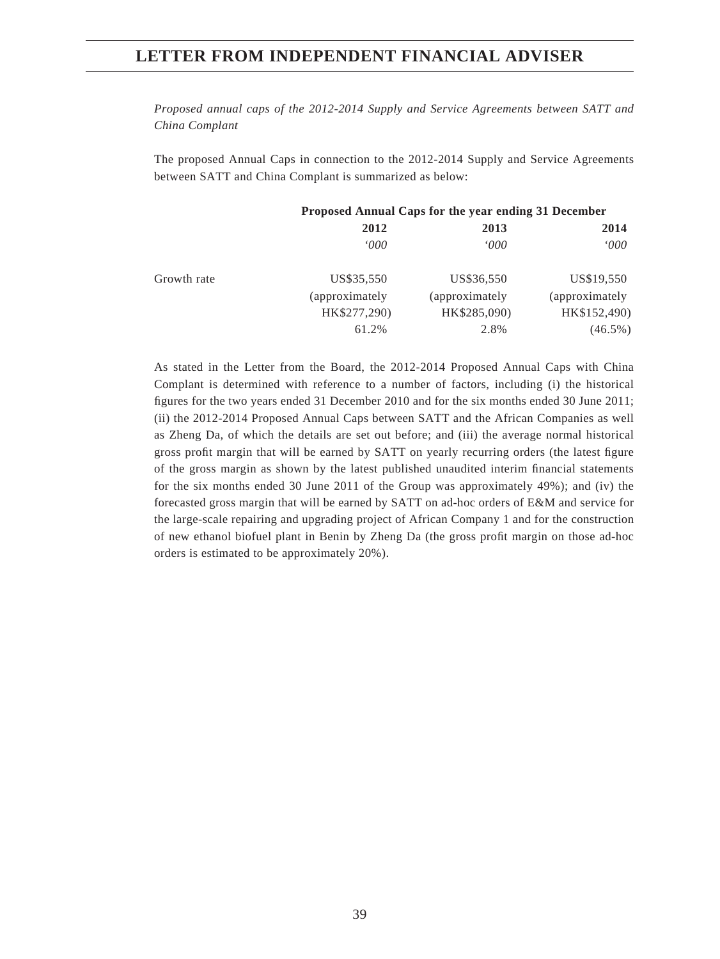*Proposed annual caps of the 2012-2014 Supply and Service Agreements between SATT and China Complant*

The proposed Annual Caps in connection to the 2012-2014 Supply and Service Agreements between SATT and China Complant is summarized as below:

|             | Proposed Annual Caps for the year ending 31 December |                 |                |
|-------------|------------------------------------------------------|-----------------|----------------|
|             | 2012                                                 | 2013            | 2014           |
|             | $000^{\circ}$                                        | <i>000</i>      | 000'           |
| Growth rate | US\$35,550                                           | US\$36,550      | US\$19,550     |
|             | (approximately)                                      | (approximately) | (approximately |
|             | HK\$277,290)                                         | HK\$285,090)    | HK\$152,490)   |
|             | 61.2%                                                | 2.8%            | $(46.5\%)$     |

As stated in the Letter from the Board, the 2012-2014 Proposed Annual Caps with China Complant is determined with reference to a number of factors, including (i) the historical figures for the two years ended 31 December 2010 and for the six months ended 30 June 2011; (ii) the 2012-2014 Proposed Annual Caps between SATT and the African Companies as well as Zheng Da, of which the details are set out before; and (iii) the average normal historical gross profit margin that will be earned by SATT on yearly recurring orders (the latest figure of the gross margin as shown by the latest published unaudited interim financial statements for the six months ended 30 June 2011 of the Group was approximately 49%); and (iv) the forecasted gross margin that will be earned by SATT on ad-hoc orders of E&M and service for the large-scale repairing and upgrading project of African Company 1 and for the construction of new ethanol biofuel plant in Benin by Zheng Da (the gross profi t margin on those ad-hoc orders is estimated to be approximately 20%).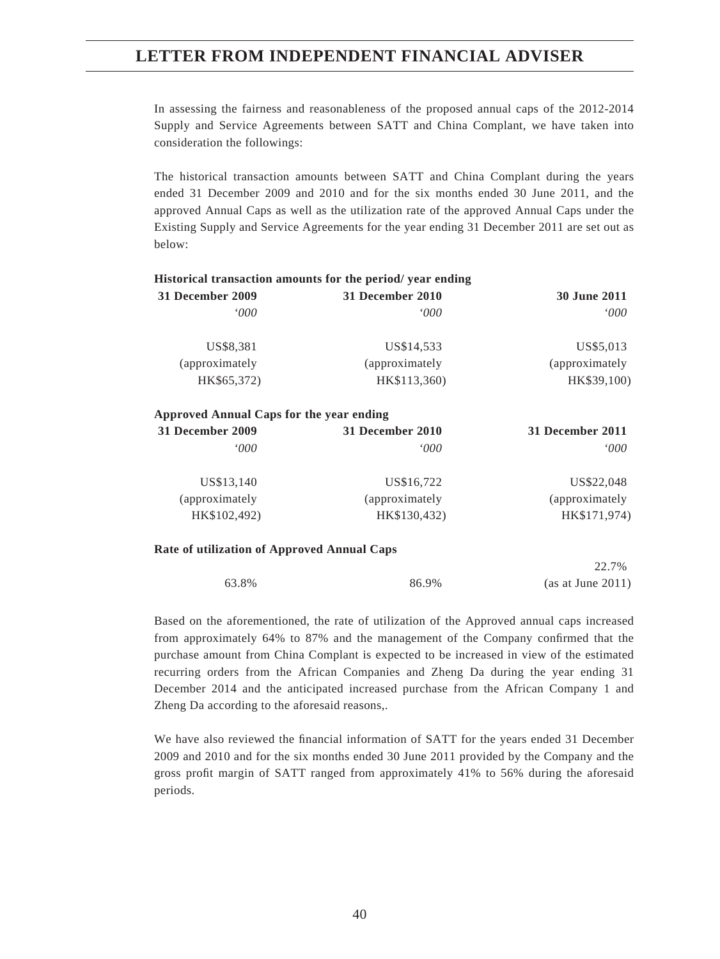In assessing the fairness and reasonableness of the proposed annual caps of the 2012-2014 Supply and Service Agreements between SATT and China Complant, we have taken into consideration the followings:

The historical transaction amounts between SATT and China Complant during the years ended 31 December 2009 and 2010 and for the six months ended 30 June 2011, and the approved Annual Caps as well as the utilization rate of the approved Annual Caps under the Existing Supply and Service Agreements for the year ending 31 December 2011 are set out as below:

| <b>30 June 2011</b> | 31 December 2010 | 31 December 2009 |
|---------------------|------------------|------------------|
| 000'                | $000^{\circ}$    | $000^{\circ}$    |
| US\$5,013           | US\$14,533       | US\$8,381        |
| (approximately)     | (approximately)  | (approximately   |
| HK\$39,100)         | HK\$113,360)     | HK\$65,372)      |

#### **Historical transaction amounts for the period/ year ending**

| 31 December 2009 | 31 December 2010 | 31 December 2011 |
|------------------|------------------|------------------|
| <i>000</i>       | $000^{\circ}$    | 000'             |
| US\$13,140       | US\$16,722       | US\$22,048       |
| (approximately   | (approximately)  | (approximately   |
| HK\$102,492)     | HK\$130,432)     | HK\$171,974)     |

#### **Rate of utilization of Approved Annual Caps**

|       |       | 22.170            |
|-------|-------|-------------------|
| 63.8% | 86.9% | (as at June 2011) |

 $22.7<sub>2</sub>$ 

Based on the aforementioned, the rate of utilization of the Approved annual caps increased from approximately 64% to 87% and the management of the Company confirmed that the purchase amount from China Complant is expected to be increased in view of the estimated recurring orders from the African Companies and Zheng Da during the year ending 31 December 2014 and the anticipated increased purchase from the African Company 1 and Zheng Da according to the aforesaid reasons,.

We have also reviewed the financial information of SATT for the years ended 31 December 2009 and 2010 and for the six months ended 30 June 2011 provided by the Company and the gross profi t margin of SATT ranged from approximately 41% to 56% during the aforesaid periods.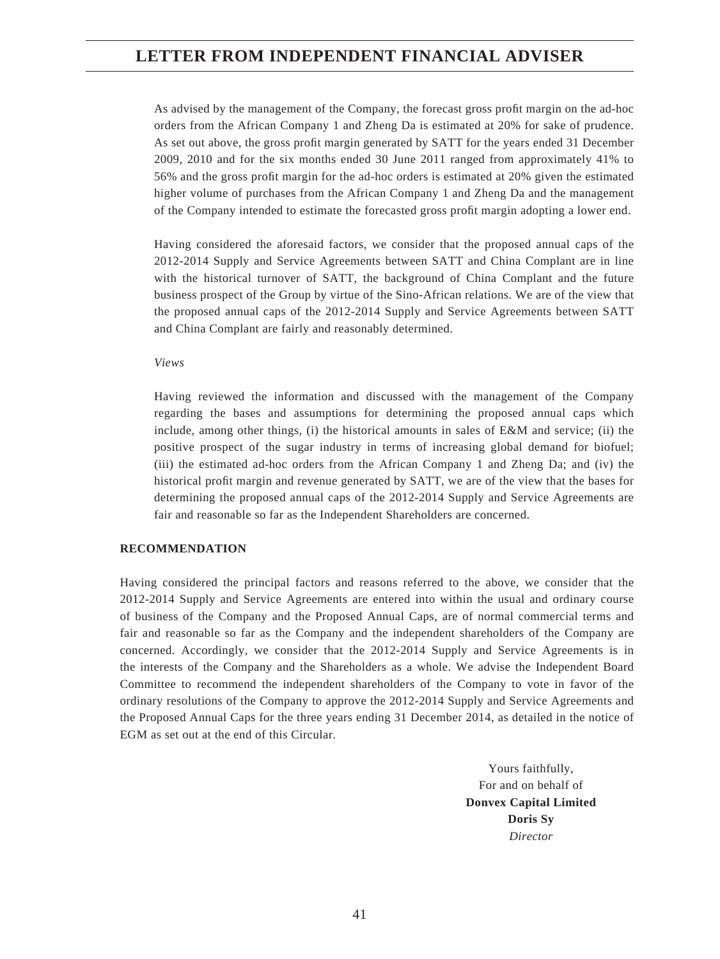As advised by the management of the Company, the forecast gross profi t margin on the ad-hoc orders from the African Company 1 and Zheng Da is estimated at 20% for sake of prudence. As set out above, the gross profit margin generated by SATT for the years ended 31 December 2009, 2010 and for the six months ended 30 June 2011 ranged from approximately 41% to 56% and the gross profi t margin for the ad-hoc orders is estimated at 20% given the estimated higher volume of purchases from the African Company 1 and Zheng Da and the management of the Company intended to estimate the forecasted gross profi t margin adopting a lower end.

Having considered the aforesaid factors, we consider that the proposed annual caps of the 2012-2014 Supply and Service Agreements between SATT and China Complant are in line with the historical turnover of SATT, the background of China Complant and the future business prospect of the Group by virtue of the Sino-African relations. We are of the view that the proposed annual caps of the 2012-2014 Supply and Service Agreements between SATT and China Complant are fairly and reasonably determined.

#### *Views*

Having reviewed the information and discussed with the management of the Company regarding the bases and assumptions for determining the proposed annual caps which include, among other things, (i) the historical amounts in sales of E&M and service; (ii) the positive prospect of the sugar industry in terms of increasing global demand for biofuel; (iii) the estimated ad-hoc orders from the African Company 1 and Zheng Da; and (iv) the historical profit margin and revenue generated by SATT, we are of the view that the bases for determining the proposed annual caps of the 2012-2014 Supply and Service Agreements are fair and reasonable so far as the Independent Shareholders are concerned.

#### **RECOMMENDATION**

Having considered the principal factors and reasons referred to the above, we consider that the 2012-2014 Supply and Service Agreements are entered into within the usual and ordinary course of business of the Company and the Proposed Annual Caps, are of normal commercial terms and fair and reasonable so far as the Company and the independent shareholders of the Company are concerned. Accordingly, we consider that the 2012-2014 Supply and Service Agreements is in the interests of the Company and the Shareholders as a whole. We advise the Independent Board Committee to recommend the independent shareholders of the Company to vote in favor of the ordinary resolutions of the Company to approve the 2012-2014 Supply and Service Agreements and the Proposed Annual Caps for the three years ending 31 December 2014, as detailed in the notice of EGM as set out at the end of this Circular.

> Yours faithfully, For and on behalf of **Donvex Capital Limited Doris Sy** *Director*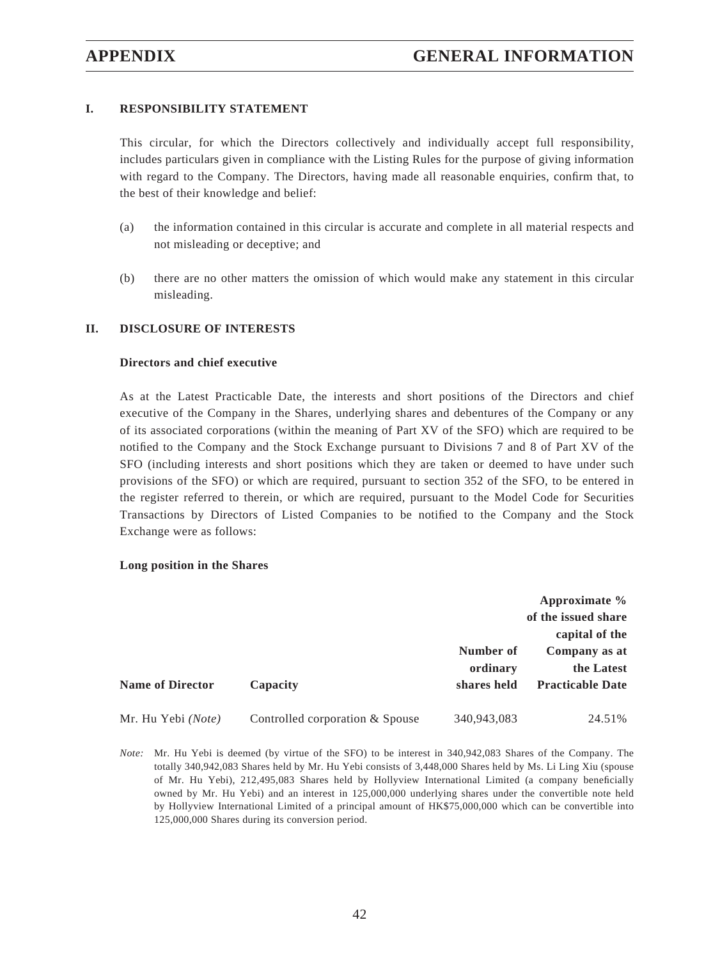## **I. RESPONSIBILITY STATEMENT**

This circular, for which the Directors collectively and individually accept full responsibility, includes particulars given in compliance with the Listing Rules for the purpose of giving information with regard to the Company. The Directors, having made all reasonable enquiries, confirm that, to the best of their knowledge and belief:

- (a) the information contained in this circular is accurate and complete in all material respects and not misleading or deceptive; and
- (b) there are no other matters the omission of which would make any statement in this circular misleading.

### **II. DISCLOSURE OF INTERESTS**

#### **Directors and chief executive**

As at the Latest Practicable Date, the interests and short positions of the Directors and chief executive of the Company in the Shares, underlying shares and debentures of the Company or any of its associated corporations (within the meaning of Part XV of the SFO) which are required to be notified to the Company and the Stock Exchange pursuant to Divisions 7 and 8 of Part XV of the SFO (including interests and short positions which they are taken or deemed to have under such provisions of the SFO) or which are required, pursuant to section 352 of the SFO, to be entered in the register referred to therein, or which are required, pursuant to the Model Code for Securities Transactions by Directors of Listed Companies to be notified to the Company and the Stock Exchange were as follows:

#### **Long position in the Shares**

|                         |                                 |                                      | Approximate $\%$<br>of the issued share<br>capital of the |
|-------------------------|---------------------------------|--------------------------------------|-----------------------------------------------------------|
| <b>Name of Director</b> | Capacity                        | Number of<br>ordinary<br>shares held | Company as at<br>the Latest<br><b>Practicable Date</b>    |
| Mr. Hu Yebi (Note)      | Controlled corporation & Spouse | 340,943,083                          | 24.51%                                                    |

*Note:* Mr. Hu Yebi is deemed (by virtue of the SFO) to be interest in 340,942,083 Shares of the Company. The totally 340,942,083 Shares held by Mr. Hu Yebi consists of 3,448,000 Shares held by Ms. Li Ling Xiu (spouse of Mr. Hu Yebi), 212,495,083 Shares held by Hollyview International Limited (a company beneficially owned by Mr. Hu Yebi) and an interest in 125,000,000 underlying shares under the convertible note held by Hollyview International Limited of a principal amount of HK\$75,000,000 which can be convertible into 125,000,000 Shares during its conversion period.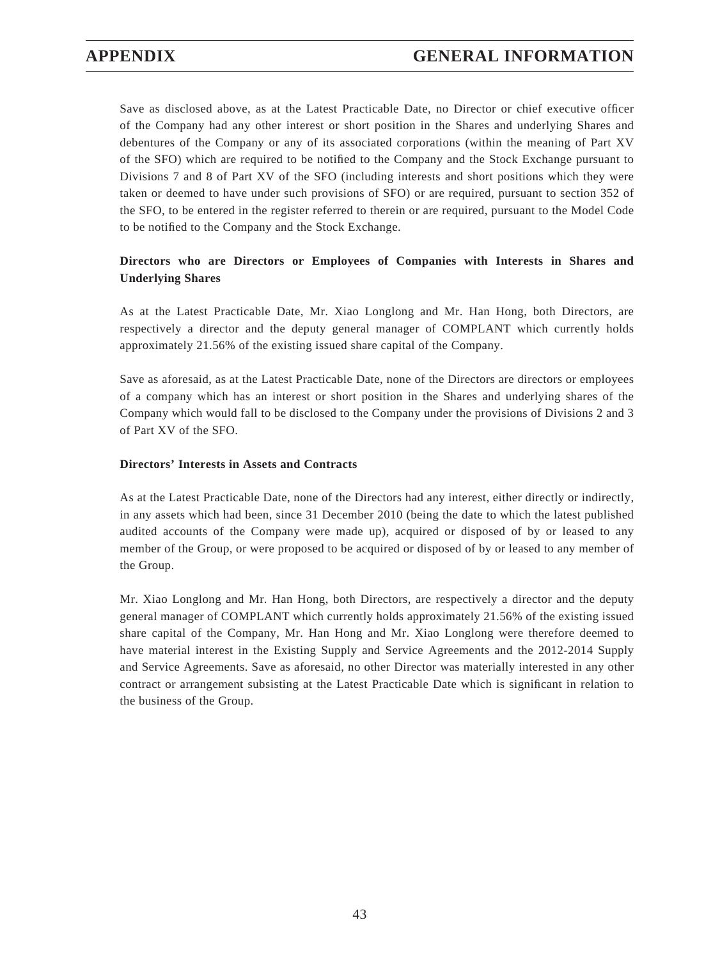Save as disclosed above, as at the Latest Practicable Date, no Director or chief executive officer of the Company had any other interest or short position in the Shares and underlying Shares and debentures of the Company or any of its associated corporations (within the meaning of Part XV of the SFO) which are required to be notified to the Company and the Stock Exchange pursuant to Divisions 7 and 8 of Part XV of the SFO (including interests and short positions which they were taken or deemed to have under such provisions of SFO) or are required, pursuant to section 352 of the SFO, to be entered in the register referred to therein or are required, pursuant to the Model Code to be notified to the Company and the Stock Exchange.

## **Directors who are Directors or Employees of Companies with Interests in Shares and Underlying Shares**

As at the Latest Practicable Date, Mr. Xiao Longlong and Mr. Han Hong, both Directors, are respectively a director and the deputy general manager of COMPLANT which currently holds approximately 21.56% of the existing issued share capital of the Company.

Save as aforesaid, as at the Latest Practicable Date, none of the Directors are directors or employees of a company which has an interest or short position in the Shares and underlying shares of the Company which would fall to be disclosed to the Company under the provisions of Divisions 2 and 3 of Part XV of the SFO.

## **Directors' Interests in Assets and Contracts**

As at the Latest Practicable Date, none of the Directors had any interest, either directly or indirectly, in any assets which had been, since 31 December 2010 (being the date to which the latest published audited accounts of the Company were made up), acquired or disposed of by or leased to any member of the Group, or were proposed to be acquired or disposed of by or leased to any member of the Group.

Mr. Xiao Longlong and Mr. Han Hong, both Directors, are respectively a director and the deputy general manager of COMPLANT which currently holds approximately 21.56% of the existing issued share capital of the Company, Mr. Han Hong and Mr. Xiao Longlong were therefore deemed to have material interest in the Existing Supply and Service Agreements and the 2012-2014 Supply and Service Agreements. Save as aforesaid, no other Director was materially interested in any other contract or arrangement subsisting at the Latest Practicable Date which is significant in relation to the business of the Group.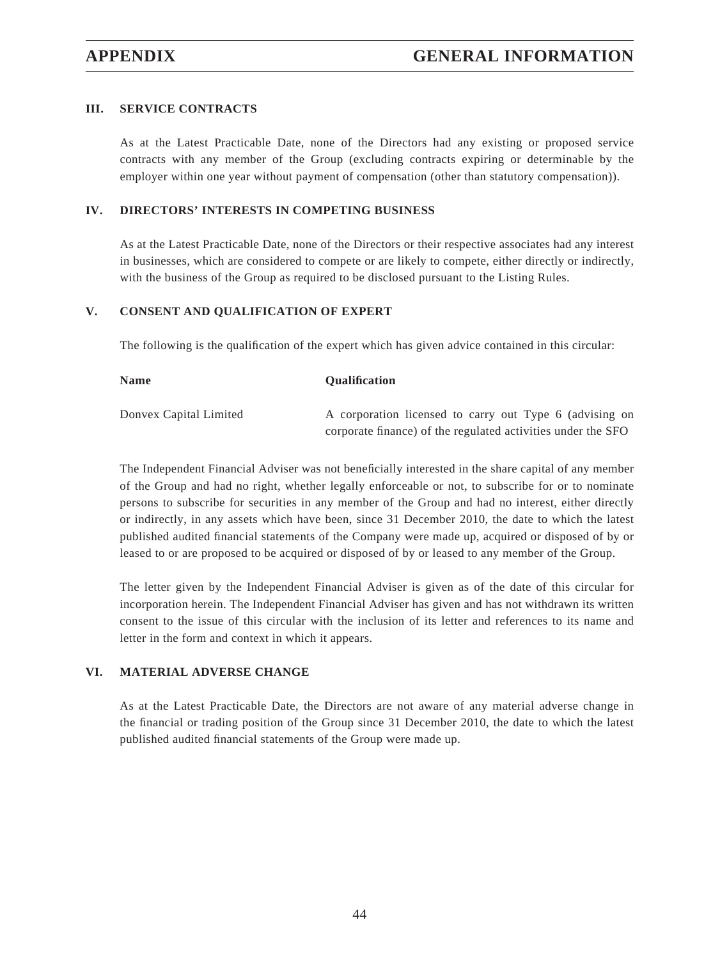## **III. SERVICE CONTRACTS**

As at the Latest Practicable Date, none of the Directors had any existing or proposed service contracts with any member of the Group (excluding contracts expiring or determinable by the employer within one year without payment of compensation (other than statutory compensation)).

### **IV. DIRECTORS' INTERESTS IN COMPETING BUSINESS**

As at the Latest Practicable Date, none of the Directors or their respective associates had any interest in businesses, which are considered to compete or are likely to compete, either directly or indirectly, with the business of the Group as required to be disclosed pursuant to the Listing Rules.

## **V. CONSENT AND QUALIFICATION OF EXPERT**

The following is the qualification of the expert which has given advice contained in this circular:

| <b>Name</b>            | <b>Oualification</b>                                         |
|------------------------|--------------------------------------------------------------|
| Donvex Capital Limited | A corporation licensed to carry out Type 6 (advising on      |
|                        | corporate finance) of the regulated activities under the SFO |

The Independent Financial Adviser was not beneficially interested in the share capital of any member of the Group and had no right, whether legally enforceable or not, to subscribe for or to nominate persons to subscribe for securities in any member of the Group and had no interest, either directly or indirectly, in any assets which have been, since 31 December 2010, the date to which the latest published audited financial statements of the Company were made up, acquired or disposed of by or leased to or are proposed to be acquired or disposed of by or leased to any member of the Group.

The letter given by the Independent Financial Adviser is given as of the date of this circular for incorporation herein. The Independent Financial Adviser has given and has not withdrawn its written consent to the issue of this circular with the inclusion of its letter and references to its name and letter in the form and context in which it appears.

### **VI. MATERIAL ADVERSE CHANGE**

As at the Latest Practicable Date, the Directors are not aware of any material adverse change in the financial or trading position of the Group since 31 December 2010, the date to which the latest published audited financial statements of the Group were made up.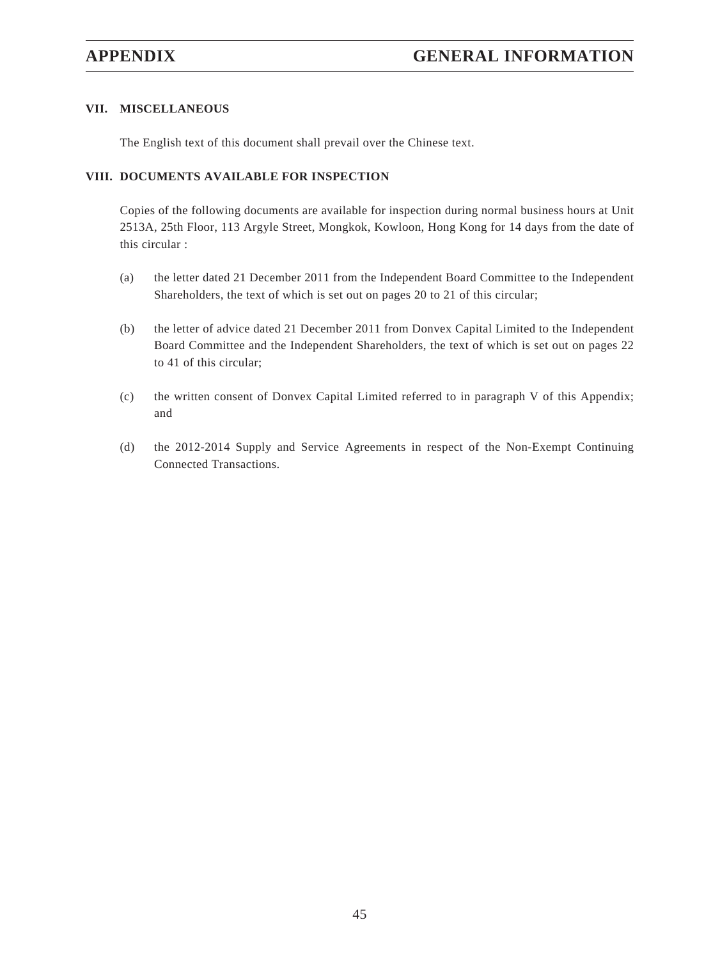## **VII. MISCELLANEOUS**

The English text of this document shall prevail over the Chinese text.

## **VIII. DOCUMENTS AVAILABLE FOR INSPECTION**

Copies of the following documents are available for inspection during normal business hours at Unit 2513A, 25th Floor, 113 Argyle Street, Mongkok, Kowloon, Hong Kong for 14 days from the date of this circular :

- (a) the letter dated 21 December 2011 from the Independent Board Committee to the Independent Shareholders, the text of which is set out on pages 20 to 21 of this circular;
- (b) the letter of advice dated 21 December 2011 from Donvex Capital Limited to the Independent Board Committee and the Independent Shareholders, the text of which is set out on pages 22 to 41 of this circular;
- (c) the written consent of Donvex Capital Limited referred to in paragraph V of this Appendix; and
- (d) the 2012-2014 Supply and Service Agreements in respect of the Non-Exempt Continuing Connected Transactions.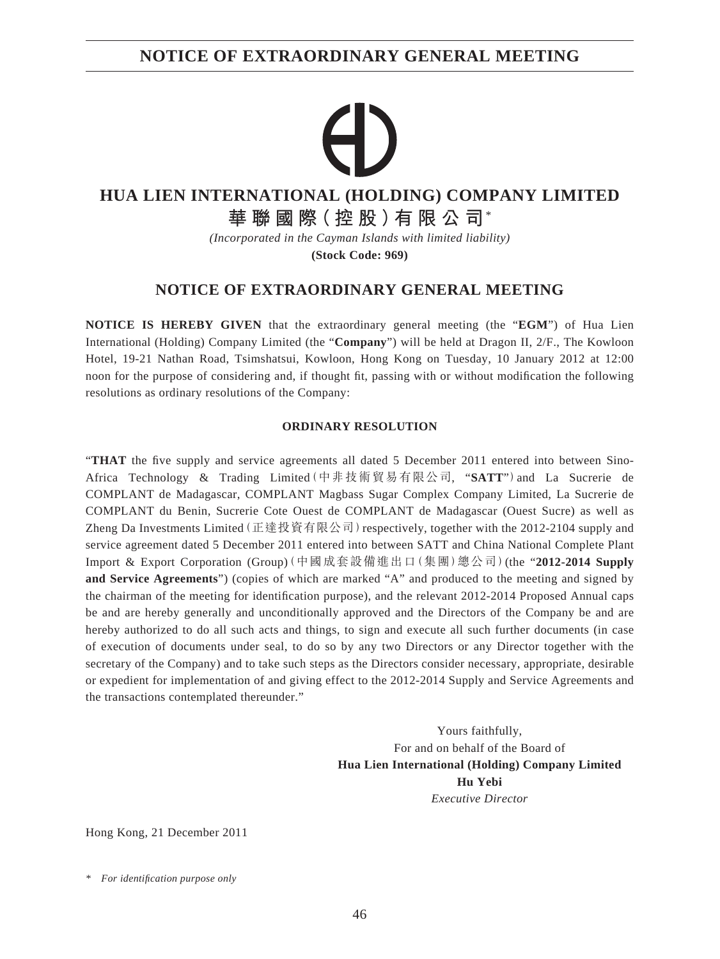## **NOTICE OF EXTRAORDINARY GENERAL MEETING**

# **HUA LIEN INTERNATIONAL (HOLDING) COMPANY LIMITED**

**華聯國際(控股)有限公司**\*

*(Incorporated in the Cayman Islands with limited liability)*

**(Stock Code: 969)**

## **NOTICE OF EXTRAORDINARY GENERAL MEETING**

**NOTICE IS HEREBY GIVEN** that the extraordinary general meeting (the "**EGM**") of Hua Lien International (Holding) Company Limited (the "**Company**") will be held at Dragon II, 2/F., The Kowloon Hotel, 19-21 Nathan Road, Tsimshatsui, Kowloon, Hong Kong on Tuesday, 10 January 2012 at 12:00 noon for the purpose of considering and, if thought fit, passing with or without modification the following resolutions as ordinary resolutions of the Company:

### **ORDINARY RESOLUTION**

"THAT the five supply and service agreements all dated 5 December 2011 entered into between Sino-Africa Technology & Trading Limited(中非技術貿易有限公司, "**SATT**")and La Sucrerie de COMPLANT de Madagascar, COMPLANT Magbass Sugar Complex Company Limited, La Sucrerie de COMPLANT du Benin, Sucrerie Cote Ouest de COMPLANT de Madagascar (Ouest Sucre) as well as Zheng Da Investments Limited (正達投資有限公司) respectively, together with the 2012-2104 supply and service agreement dated 5 December 2011 entered into between SATT and China National Complete Plant Import & Export Corporation (Group)(中國成套設備進出口(集團)總公司)(the "**2012-2014 Supply and Service Agreements**") (copies of which are marked "A" and produced to the meeting and signed by the chairman of the meeting for identification purpose), and the relevant 2012-2014 Proposed Annual caps be and are hereby generally and unconditionally approved and the Directors of the Company be and are hereby authorized to do all such acts and things, to sign and execute all such further documents (in case of execution of documents under seal, to do so by any two Directors or any Director together with the secretary of the Company) and to take such steps as the Directors consider necessary, appropriate, desirable or expedient for implementation of and giving effect to the 2012-2014 Supply and Service Agreements and the transactions contemplated thereunder."

> Yours faithfully, For and on behalf of the Board of **Hua Lien International (Holding) Company Limited Hu Yebi** *Executive Director*

Hong Kong, 21 December 2011

*<sup>\*</sup> For identifi cation purpose only*